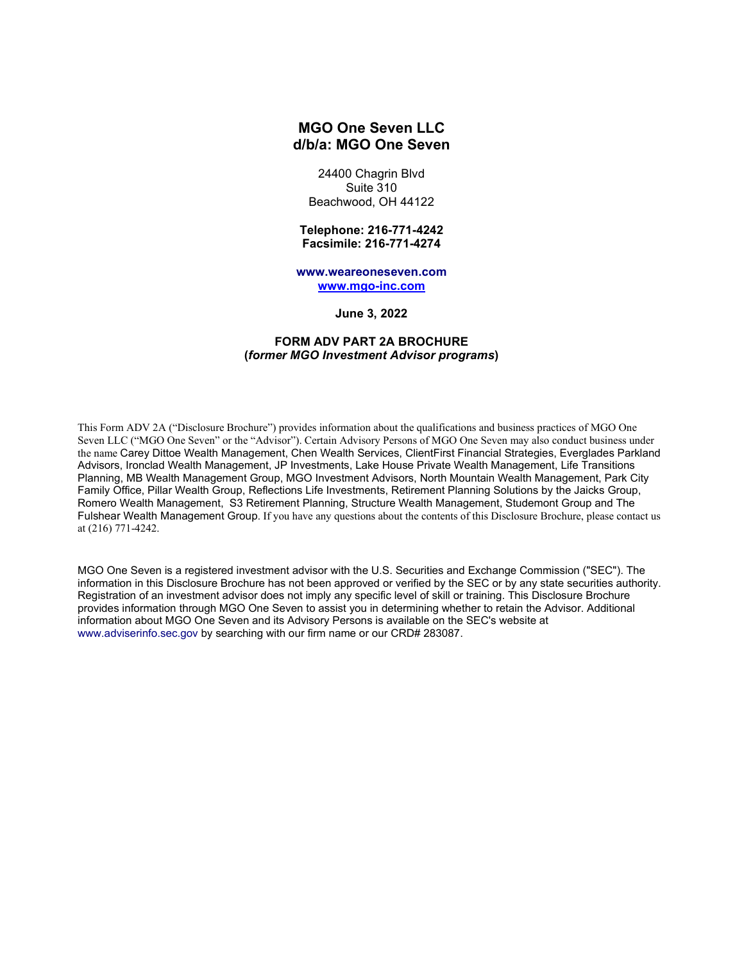# **MGO One Seven LLC d/b/a: MGO One Seven**

24400 Chagrin Blvd Suite 310 Beachwood, OH 44122

**Telephone: 216-771-4242 Facsimile: 216-771-4274**

**www.weareoneseven.com [www.mgo-inc.com](http://www.mgo-inc.com/)**

**June 3, 2022**

# **FORM ADV PART 2A BROCHURE (***former MGO Investment Advisor programs***)**

This Form ADV 2A ("Disclosure Brochure") provides information about the qualifications and business practices of MGO One Seven LLC ("MGO One Seven" or the "Advisor"). Certain Advisory Persons of MGO One Seven may also conduct business under the name Carey Dittoe Wealth Management, Chen Wealth Services, ClientFirst Financial Strategies, Everglades Parkland Advisors, Ironclad Wealth Management, JP Investments, Lake House Private Wealth Management, Life Transitions Planning, MB Wealth Management Group, MGO Investment Advisors, North Mountain Wealth Management, Park City Family Office, Pillar Wealth Group, Reflections Life Investments, Retirement Planning Solutions by the Jaicks Group, Romero Wealth Management, S3 Retirement Planning, Structure Wealth Management, Studemont Group and The Fulshear Wealth Management Group. If you have any questions about the contents of this Disclosure Brochure, please contact us at (216) 771-4242.

MGO One Seven is a registered investment advisor with the U.S. Securities and Exchange Commission ("SEC"). The information in this Disclosure Brochure has not been approved or verified by the SEC or by any state securities authority. Registration of an investment advisor does not imply any specific level of skill or training. This Disclosure Brochure provides information through MGO One Seven to assist you in determining whether to retain the Advisor. Additional information about MGO One Seven and its Advisory Persons is available on the SEC's website at www.adviserinfo.sec.gov by searching with our firm name or our CRD# 283087.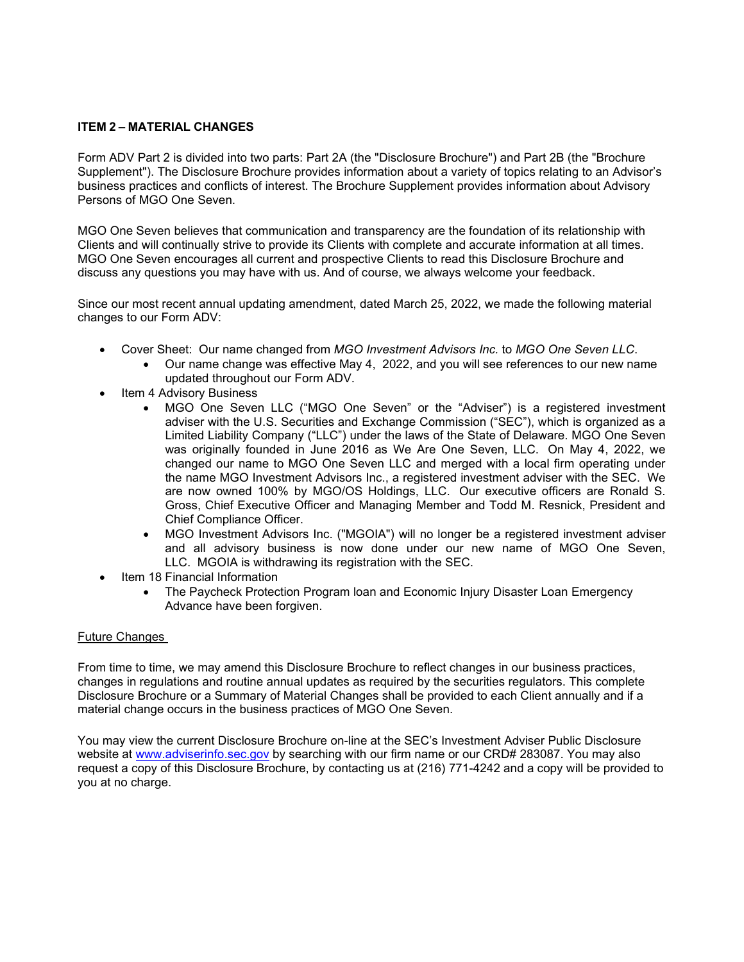# **ITEM 2 – MATERIAL CHANGES**

Form ADV Part 2 is divided into two parts: Part 2A (the "Disclosure Brochure") and Part 2B (the "Brochure Supplement"). The Disclosure Brochure provides information about a variety of topics relating to an Advisor's business practices and conflicts of interest. The Brochure Supplement provides information about Advisory Persons of MGO One Seven.

MGO One Seven believes that communication and transparency are the foundation of its relationship with Clients and will continually strive to provide its Clients with complete and accurate information at all times. MGO One Seven encourages all current and prospective Clients to read this Disclosure Brochure and discuss any questions you may have with us. And of course, we always welcome your feedback.

Since our most recent annual updating amendment, dated March 25, 2022, we made the following material changes to our Form ADV:

- Cover Sheet: Our name changed from *MGO Investment Advisors Inc.* to *MGO One Seven LLC*.
	- Our name change was effective May 4, 2022, and you will see references to our new name updated throughout our Form ADV.
- Item 4 Advisory Business
	- MGO One Seven LLC ("MGO One Seven" or the "Adviser") is a registered investment adviser with the U.S. Securities and Exchange Commission ("SEC"), which is organized as a Limited Liability Company ("LLC") under the laws of the State of Delaware. MGO One Seven was originally founded in June 2016 as We Are One Seven, LLC. On May 4, 2022, we changed our name to MGO One Seven LLC and merged with a local firm operating under the name MGO Investment Advisors Inc., a registered investment adviser with the SEC. We are now owned 100% by MGO/OS Holdings, LLC. Our executive officers are Ronald S. Gross, Chief Executive Officer and Managing Member and Todd M. Resnick, President and Chief Compliance Officer.
	- MGO Investment Advisors Inc. ("MGOIA") will no longer be a registered investment adviser and all advisory business is now done under our new name of MGO One Seven, LLC. MGOIA is withdrawing its registration with the SEC.
- Item 18 Financial Information
	- The Paycheck Protection Program loan and Economic Injury Disaster Loan Emergency Advance have been forgiven.

## Future Changes

From time to time, we may amend this Disclosure Brochure to reflect changes in our business practices, changes in regulations and routine annual updates as required by the securities regulators. This complete Disclosure Brochure or a Summary of Material Changes shall be provided to each Client annually and if a material change occurs in the business practices of MGO One Seven.

You may view the current Disclosure Brochure on-line at the SEC's Investment Adviser Public Disclosure website at [www.adviserinfo.sec.gov](http://www.adviserinfo.sec.gov/) by searching with our firm name or our CRD# 283087. You may also request a copy of this Disclosure Brochure, by contacting us at (216) 771-4242 and a copy will be provided to you at no charge.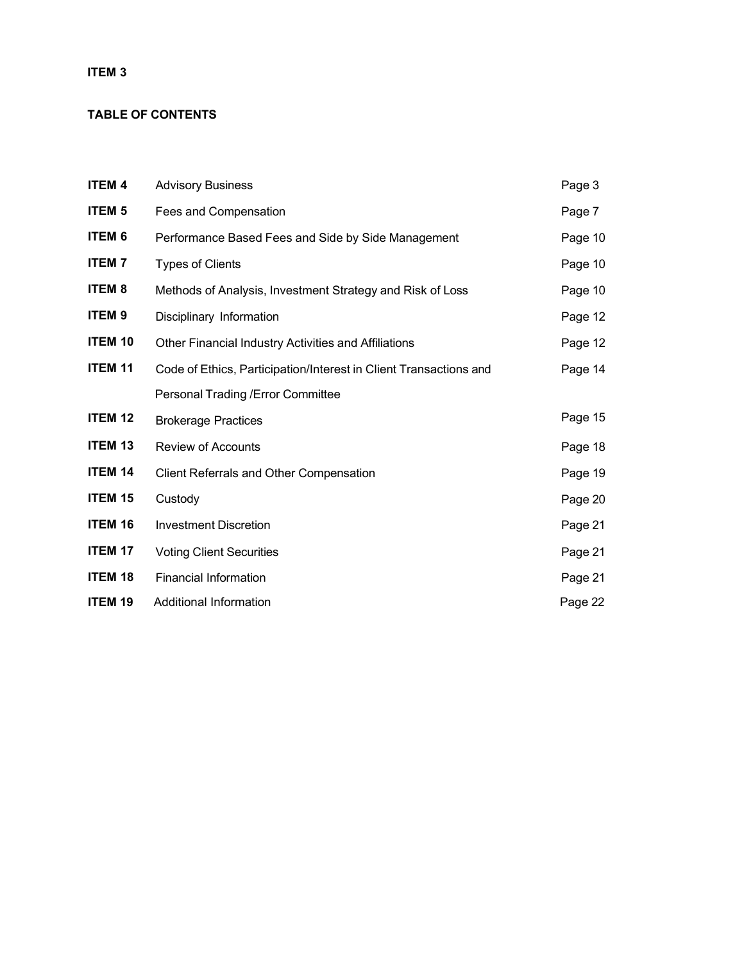# **ITEM 3**

# **TABLE OF CONTENTS**

| <b>ITEM 4</b>  | <b>Advisory Business</b>                                          | Page 3  |
|----------------|-------------------------------------------------------------------|---------|
| <b>ITEM 5</b>  | Fees and Compensation                                             | Page 7  |
| <b>ITEM 6</b>  | Performance Based Fees and Side by Side Management                | Page 10 |
| <b>ITEM7</b>   | <b>Types of Clients</b>                                           | Page 10 |
| <b>ITEM 8</b>  | Methods of Analysis, Investment Strategy and Risk of Loss         | Page 10 |
| <b>ITEM 9</b>  | Disciplinary Information                                          | Page 12 |
| <b>ITEM 10</b> | Other Financial Industry Activities and Affiliations              | Page 12 |
| <b>ITEM 11</b> | Code of Ethics, Participation/Interest in Client Transactions and | Page 14 |
|                | Personal Trading / Error Committee                                |         |
| <b>ITEM 12</b> | <b>Brokerage Practices</b>                                        | Page 15 |
| <b>ITEM 13</b> | <b>Review of Accounts</b>                                         | Page 18 |
| <b>ITEM 14</b> | <b>Client Referrals and Other Compensation</b>                    | Page 19 |
| <b>ITEM 15</b> | Custody                                                           | Page 20 |
| <b>ITEM 16</b> | <b>Investment Discretion</b>                                      | Page 21 |
| <b>ITEM 17</b> | <b>Voting Client Securities</b>                                   | Page 21 |
| <b>ITEM 18</b> | <b>Financial Information</b>                                      | Page 21 |
| <b>ITEM 19</b> | Additional Information                                            | Page 22 |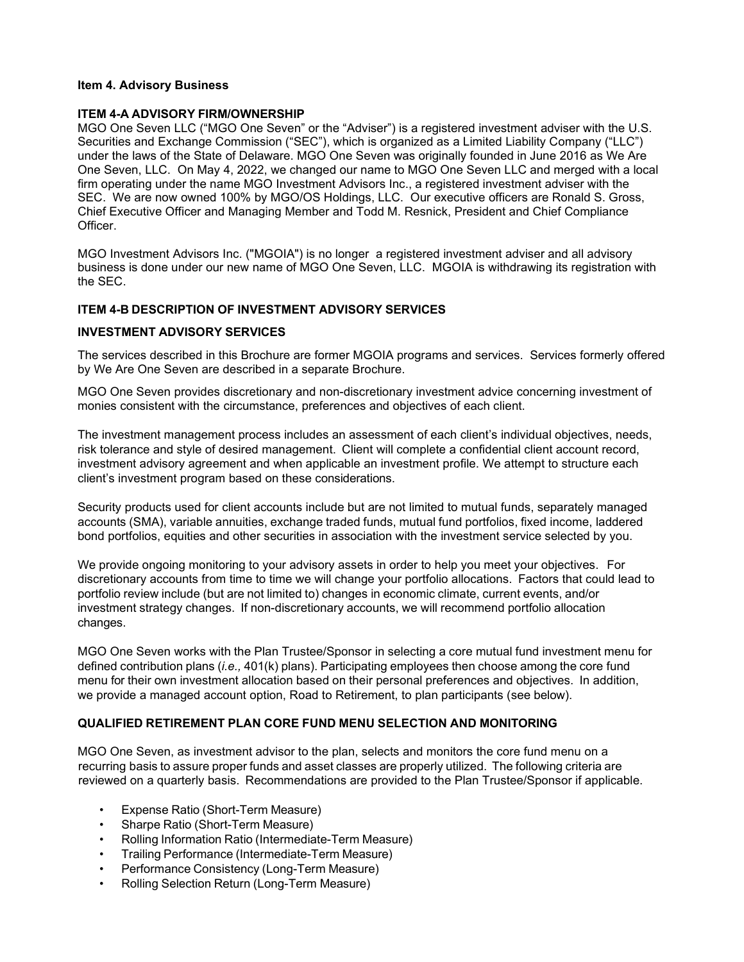# **Item 4. Advisory Business**

## **ITEM 4-A ADVISORY FIRM/OWNERSHIP**

MGO One Seven LLC ("MGO One Seven" or the "Adviser") is a registered investment adviser with the U.S. Securities and Exchange Commission ("SEC"), which is organized as a Limited Liability Company ("LLC") under the laws of the State of Delaware. MGO One Seven was originally founded in June 2016 as We Are One Seven, LLC. On May 4, 2022, we changed our name to MGO One Seven LLC and merged with a local firm operating under the name MGO Investment Advisors Inc., a registered investment adviser with the SEC. We are now owned 100% by MGO/OS Holdings, LLC. Our executive officers are Ronald S. Gross, Chief Executive Officer and Managing Member and Todd M. Resnick, President and Chief Compliance **Officer** 

MGO Investment Advisors Inc. ("MGOIA") is no longer a registered investment adviser and all advisory business is done under our new name of MGO One Seven, LLC. MGOIA is withdrawing its registration with the SEC.

## **ITEM 4-B DESCRIPTION OF INVESTMENT ADVISORY SERVICES**

### **INVESTMENT ADVISORY SERVICES**

The services described in this Brochure are former MGOIA programs and services. Services formerly offered by We Are One Seven are described in a separate Brochure.

MGO One Seven provides discretionary and non-discretionary investment advice concerning investment of monies consistent with the circumstance, preferences and objectives of each client.

The investment management process includes an assessment of each client's individual objectives, needs, risk tolerance and style of desired management. Client will complete a confidential client account record, investment advisory agreement and when applicable an investment profile. We attempt to structure each client's investment program based on these considerations.

Security products used for client accounts include but are not limited to mutual funds, separately managed accounts (SMA), variable annuities, exchange traded funds, mutual fund portfolios, fixed income, laddered bond portfolios, equities and other securities in association with the investment service selected by you.

We provide ongoing monitoring to your advisory assets in order to help you meet your objectives. For discretionary accounts from time to time we will change your portfolio allocations. Factors that could lead to portfolio review include (but are not limited to) changes in economic climate, current events, and/or investment strategy changes. If non-discretionary accounts, we will recommend portfolio allocation changes.

MGO One Seven works with the Plan Trustee/Sponsor in selecting a core mutual fund investment menu for defined contribution plans (*i.e.,* 401(k) plans). Participating employees then choose among the core fund menu for their own investment allocation based on their personal preferences and objectives. In addition, we provide a managed account option, Road to Retirement, to plan participants (see below).

# **QUALIFIED RETIREMENT PLAN CORE FUND MENU SELECTION AND MONITORING**

MGO One Seven, as investment advisor to the plan, selects and monitors the core fund menu on a recurring basis to assure proper funds and asset classes are properly utilized. The following criteria are reviewed on a quarterly basis. Recommendations are provided to the Plan Trustee/Sponsor if applicable.

- Expense Ratio (Short-Term Measure)
- Sharpe Ratio (Short-Term Measure)
- Rolling Information Ratio (Intermediate-Term Measure)
- Trailing Performance (Intermediate-Term Measure)
- Performance Consistency (Long-Term Measure)
- Rolling Selection Return (Long-Term Measure)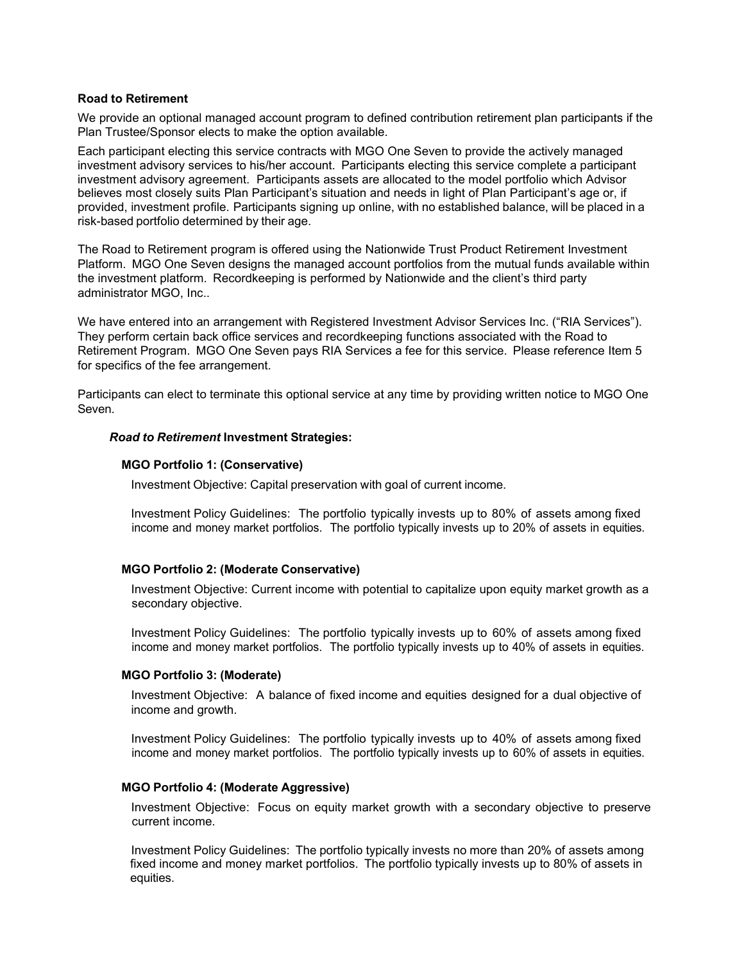### **Road to Retirement**

We provide an optional managed account program to defined contribution retirement plan participants if the Plan Trustee/Sponsor elects to make the option available.

Each participant electing this service contracts with MGO One Seven to provide the actively managed investment advisory services to his/her account. Participants electing this service complete a participant investment advisory agreement. Participants assets are allocated to the model portfolio which Advisor believes most closely suits Plan Participant's situation and needs in light of Plan Participant's age or, if provided, investment profile. Participants signing up online, with no established balance, will be placed in a risk-based portfolio determined by their age.

The Road to Retirement program is offered using the Nationwide Trust Product Retirement Investment Platform. MGO One Seven designs the managed account portfolios from the mutual funds available within the investment platform. Recordkeeping is performed by Nationwide and the client's third party administrator MGO, Inc..

We have entered into an arrangement with Registered Investment Advisor Services Inc. ("RIA Services"). They perform certain back office services and recordkeeping functions associated with the Road to Retirement Program. MGO One Seven pays RIA Services a fee for this service. Please reference Item 5 for specifics of the fee arrangement.

Participants can elect to terminate this optional service at any time by providing written notice to MGO One Seven.

### *Road to Retirement* **Investment Strategies:**

### **MGO Portfolio 1: (Conservative)**

Investment Objective: Capital preservation with goal of current income.

Investment Policy Guidelines: The portfolio typically invests up to 80% of assets among fixed income and money market portfolios. The portfolio typically invests up to 20% of assets in equities.

## **MGO Portfolio 2: (Moderate Conservative)**

Investment Objective: Current income with potential to capitalize upon equity market growth as a secondary objective.

Investment Policy Guidelines: The portfolio typically invests up to 60% of assets among fixed income and money market portfolios. The portfolio typically invests up to 40% of assets in equities.

#### **MGO Portfolio 3: (Moderate)**

Investment Objective: A balance of fixed income and equities designed for a dual objective of income and growth.

Investment Policy Guidelines: The portfolio typically invests up to 40% of assets among fixed income and money market portfolios. The portfolio typically invests up to 60% of assets in equities.

### **MGO Portfolio 4: (Moderate Aggressive)**

Investment Objective: Focus on equity market growth with a secondary objective to preserve current income.

Investment Policy Guidelines: The portfolio typically invests no more than 20% of assets among fixed income and money market portfolios. The portfolio typically invests up to 80% of assets in equities.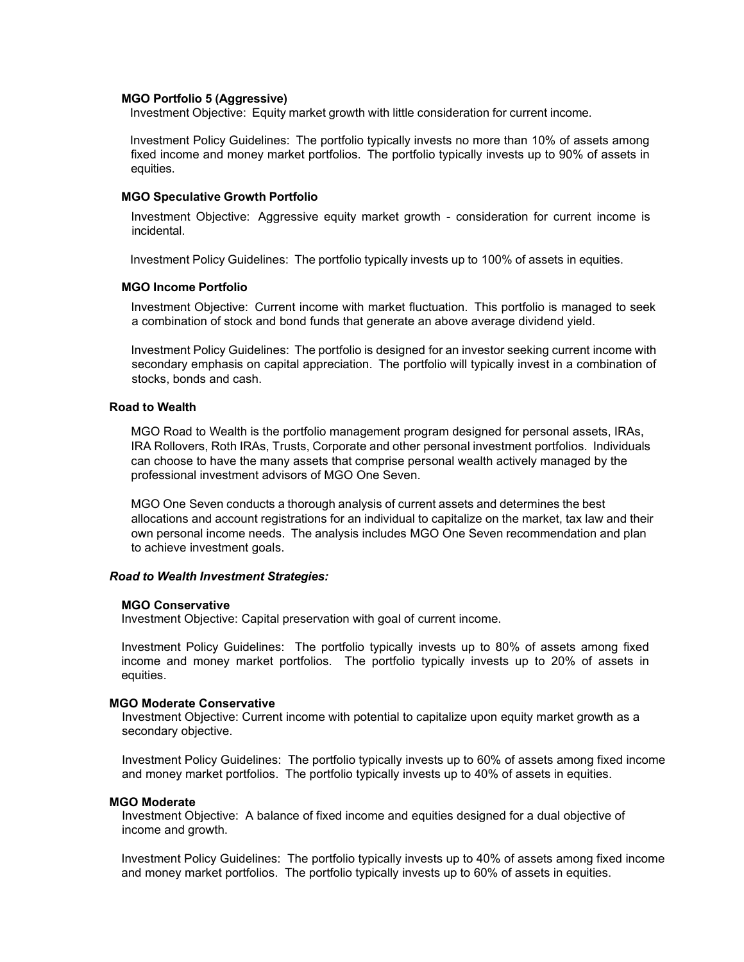#### **MGO Portfolio 5 (Aggressive)**

Investment Objective: Equity market growth with little consideration for current income.

Investment Policy Guidelines: The portfolio typically invests no more than 10% of assets among fixed income and money market portfolios. The portfolio typically invests up to 90% of assets in equities.

### **MGO Speculative Growth Portfolio**

Investment Objective: Aggressive equity market growth - consideration for current income is incidental.

Investment Policy Guidelines: The portfolio typically invests up to 100% of assets in equities.

# **MGO Income Portfolio**

Investment Objective: Current income with market fluctuation. This portfolio is managed to seek a combination of stock and bond funds that generate an above average dividend yield.

Investment Policy Guidelines: The portfolio is designed for an investor seeking current income with secondary emphasis on capital appreciation. The portfolio will typically invest in a combination of stocks, bonds and cash.

#### **Road to Wealth**

MGO Road to Wealth is the portfolio management program designed for personal assets, IRAs, IRA Rollovers, Roth IRAs, Trusts, Corporate and other personal investment portfolios. Individuals can choose to have the many assets that comprise personal wealth actively managed by the professional investment advisors of MGO One Seven.

MGO One Seven conducts a thorough analysis of current assets and determines the best allocations and account registrations for an individual to capitalize on the market, tax law and their own personal income needs. The analysis includes MGO One Seven recommendation and plan to achieve investment goals.

### *Road to Wealth Investment Strategies:*

#### **MGO Conservative**

Investment Objective: Capital preservation with goal of current income.

Investment Policy Guidelines: The portfolio typically invests up to 80% of assets among fixed income and money market portfolios. The portfolio typically invests up to 20% of assets in equities.

#### **MGO Moderate Conservative**

Investment Objective: Current income with potential to capitalize upon equity market growth as a secondary objective.

Investment Policy Guidelines: The portfolio typically invests up to 60% of assets among fixed income and money market portfolios. The portfolio typically invests up to 40% of assets in equities.

#### **MGO Moderate**

Investment Objective: A balance of fixed income and equities designed for a dual objective of income and growth.

Investment Policy Guidelines: The portfolio typically invests up to 40% of assets among fixed income and money market portfolios. The portfolio typically invests up to 60% of assets in equities.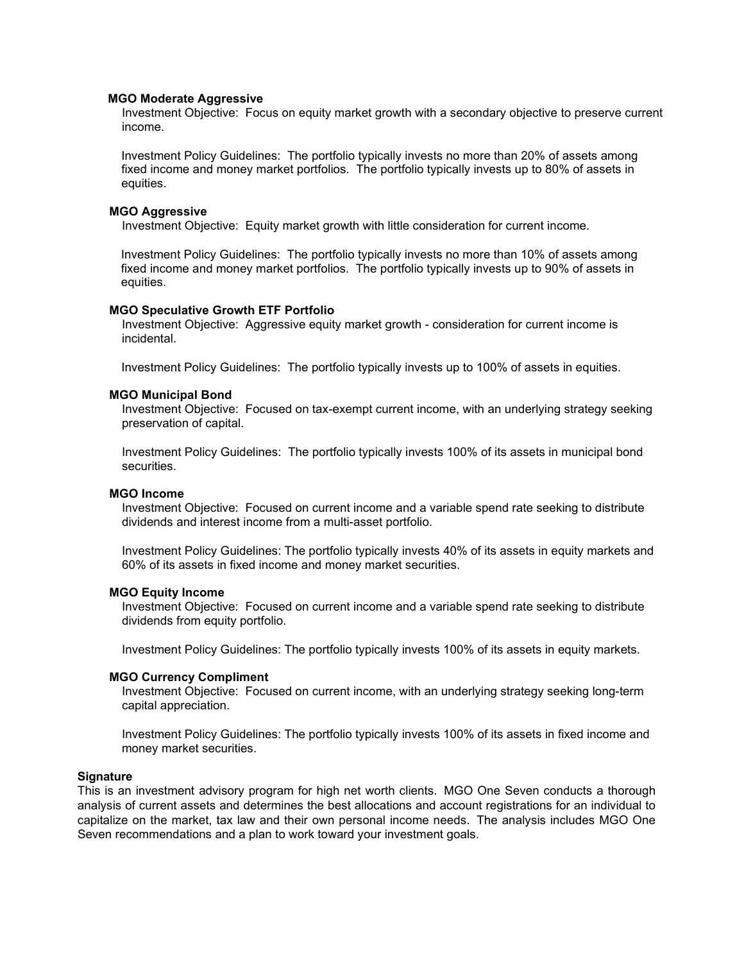#### **MGO Moderate Aggressive**

Investment Objective: Focus on equity market growth with a secondary objective to preserve current income.

Investment Policy Guidelines: The portfolio typically invests no more than 20% of assets among fixed income and money market portfolios. The portfolio typically invests up to 80% of assets in equities.

### **MGO Aggressive**

Investment Objective: Equity market growth with little consideration for current income.

Investment Policy Guidelines: The portfolio typically invests no more than 10% of assets among fixed income and money market portfolios. The portfolio typically invests up to 90% of assets in equities.

## **MGO Speculative Growth ETF Portfolio**

Investment Objective: Aggressive equity market growth - consideration for current income is incidental.

Investment Policy Guidelines: The portfolio typically invests up to 100% of assets in equities.

### **MGO Municipal Bond**

Investment Objective: Focused on tax-exempt current income, with an underlying strategy seeking preservation of capital.

Investment Policy Guidelines: The portfolio typically invests 100% of its assets in municipal bond securities.

#### **MGO Income**

Investment Objective: Focused on current income and a variable spend rate seeking to distribute dividends and interest income from a multi-asset portfolio.

Investment Policy Guidelines: The portfolio typically invests 40% of its assets in equity markets and 60% of its assets in fixed income and money market securities.

## **MGO Equity Income**

Investment Objective: Focused on current income and a variable spend rate seeking to distribute dividends from equity portfolio.

Investment Policy Guidelines: The portfolio typically invests 100% of its assets in equity markets.

## **MGO Currency Compliment**

Investment Objective: Focused on current income, with an underlying strategy seeking long-term capital appreciation.

Investment Policy Guidelines: The portfolio typically invests 100% of its assets in fixed income and money market securities.

### **Signature**

This is an investment advisory program for high net worth clients. MGO One Seven conducts a thorough analysis of current assets and determines the best allocations and account registrations for an individual to capitalize on the market, tax law and their own personal income needs. The analysis includes MGO One Seven recommendations and a plan to work toward your investment goals.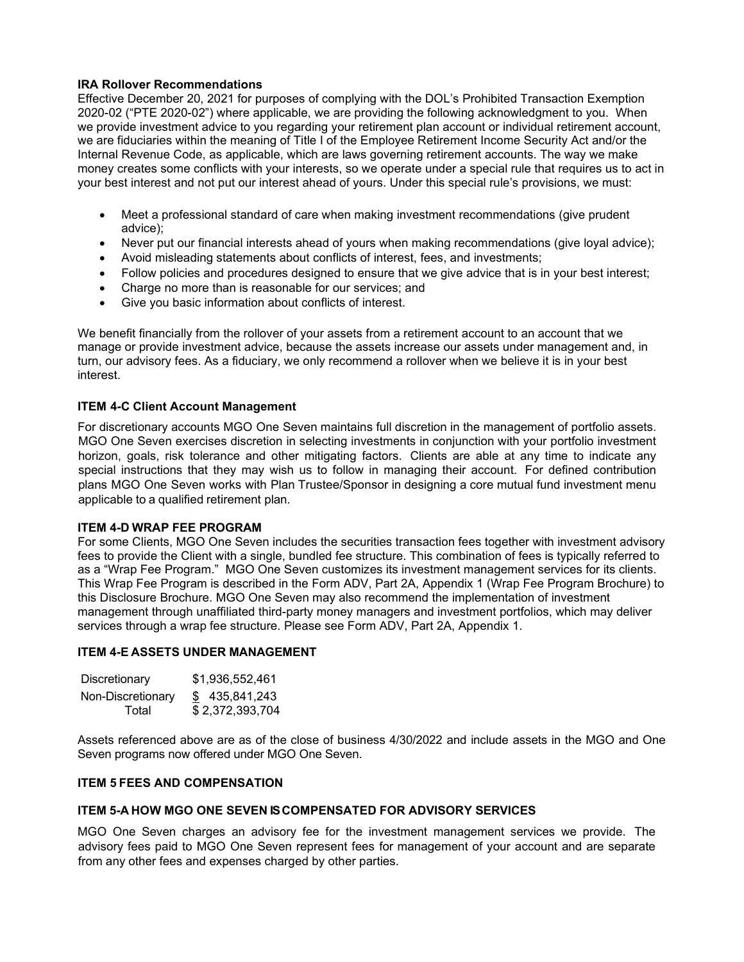## **IRA Rollover Recommendations**

Effective December 20, 2021 for purposes of complying with the DOL's Prohibited Transaction Exemption 2020-02 ("PTE 2020-02") where applicable, we are providing the following acknowledgment to you. When we provide investment advice to you regarding your retirement plan account or individual retirement account, we are fiduciaries within the meaning of Title I of the Employee Retirement Income Security Act and/or the Internal Revenue Code, as applicable, which are laws governing retirement accounts. The way we make money creates some conflicts with your interests, so we operate under a special rule that requires us to act in your best interest and not put our interest ahead of yours. Under this special rule's provisions, we must:

- Meet a professional standard of care when making investment recommendations (give prudent advice);
- Never put our financial interests ahead of yours when making recommendations (give loyal advice);
- Avoid misleading statements about conflicts of interest, fees, and investments;
- Follow policies and procedures designed to ensure that we give advice that is in your best interest;
- Charge no more than is reasonable for our services; and
- Give you basic information about conflicts of interest.

We benefit financially from the rollover of your assets from a retirement account to an account that we manage or provide investment advice, because the assets increase our assets under management and, in turn, our advisory fees. As a fiduciary, we only recommend a rollover when we believe it is in your best interest.

## **ITEM 4-C Client Account Management**

For discretionary accounts MGO One Seven maintains full discretion in the management of portfolio assets. MGO One Seven exercises discretion in selecting investments in conjunction with your portfolio investment horizon, goals, risk tolerance and other mitigating factors. Clients are able at any time to indicate any special instructions that they may wish us to follow in managing their account. For defined contribution plans MGO One Seven works with Plan Trustee/Sponsor in designing a core mutual fund investment menu applicable to a qualified retirement plan.

## **ITEM 4-D WRAP FEE PROGRAM**

For some Clients, MGO One Seven includes the securities transaction fees together with investment advisory fees to provide the Client with a single, bundled fee structure. This combination of fees is typically referred to as a "Wrap Fee Program." MGO One Seven customizes its investment management services for its clients. This Wrap Fee Program is described in the Form ADV, Part 2A, Appendix 1 (Wrap Fee Program Brochure) to this Disclosure Brochure. MGO One Seven may also recommend the implementation of investment management through unaffiliated third-party money managers and investment portfolios, which may deliver services through a wrap fee structure. Please see Form ADV, Part 2A, Appendix 1.

## **ITEM 4-E ASSETS UNDER MANAGEMENT**

| Discretionary     | \$1,936,552,461 |  |  |
|-------------------|-----------------|--|--|
| Non-Discretionary | \$435,841,243   |  |  |
| Total             | \$2,372,393,704 |  |  |

Assets referenced above are as of the close of business 4/30/2022 and include assets in the MGO and One Seven programs now offered under MGO One Seven.

## **ITEM 5 FEES AND COMPENSATION**

## **ITEM 5-A HOW MGO ONE SEVEN IS COMPENSATED FOR ADVISORY SERVICES**

MGO One Seven charges an advisory fee for the investment management services we provide. The advisory fees paid to MGO One Seven represent fees for management of your account and are separate from any other fees and expenses charged by other parties.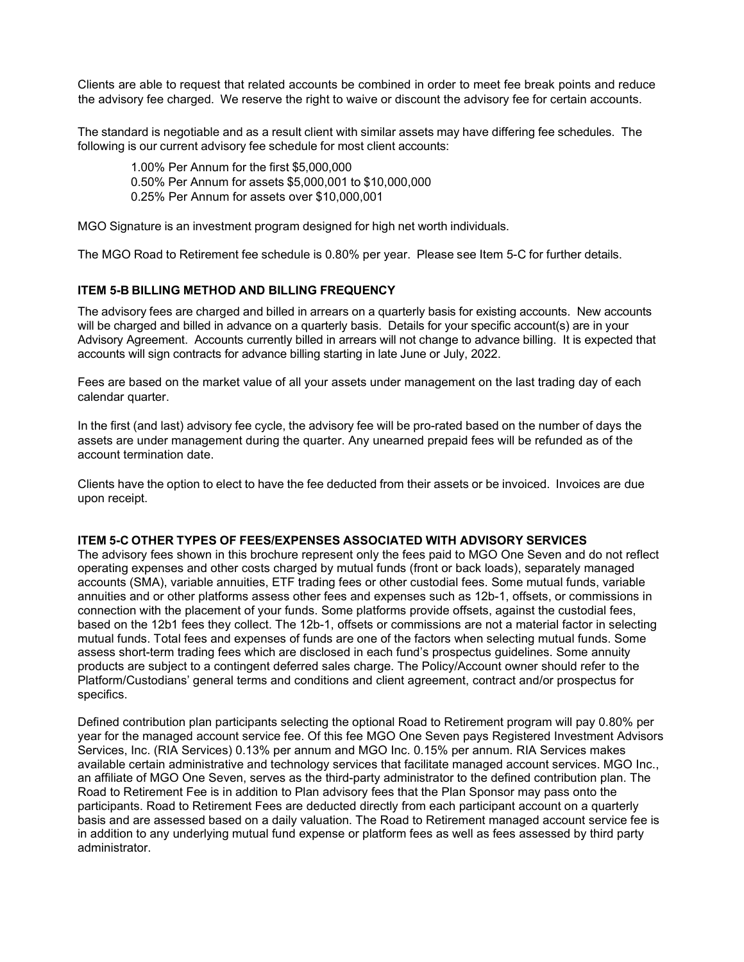Clients are able to request that related accounts be combined in order to meet fee break points and reduce the advisory fee charged. We reserve the right to waive or discount the advisory fee for certain accounts.

The standard is negotiable and as a result client with similar assets may have differing fee schedules. The following is our current advisory fee schedule for most client accounts:

1.00% Per Annum for the first \$5,000,000 0.50% Per Annum for assets \$5,000,001 to \$10,000,000 0.25% Per Annum for assets over \$10,000,001

MGO Signature is an investment program designed for high net worth individuals.

The MGO Road to Retirement fee schedule is 0.80% per year. Please see Item 5-C for further details.

# **ITEM 5-B BILLING METHOD AND BILLING FREQUENCY**

The advisory fees are charged and billed in arrears on a quarterly basis for existing accounts. New accounts will be charged and billed in advance on a quarterly basis. Details for your specific account(s) are in your Advisory Agreement. Accounts currently billed in arrears will not change to advance billing. It is expected that accounts will sign contracts for advance billing starting in late June or July, 2022.

Fees are based on the market value of all your assets under management on the last trading day of each calendar quarter.

In the first (and last) advisory fee cycle, the advisory fee will be pro-rated based on the number of days the assets are under management during the quarter. Any unearned prepaid fees will be refunded as of the account termination date.

Clients have the option to elect to have the fee deducted from their assets or be invoiced. Invoices are due upon receipt.

# **ITEM 5-C OTHER TYPES OF FEES/EXPENSES ASSOCIATED WITH ADVISORY SERVICES**

The advisory fees shown in this brochure represent only the fees paid to MGO One Seven and do not reflect operating expenses and other costs charged by mutual funds (front or back loads), separately managed accounts (SMA), variable annuities, ETF trading fees or other custodial fees. Some mutual funds, variable annuities and or other platforms assess other fees and expenses such as 12b-1, offsets, or commissions in connection with the placement of your funds. Some platforms provide offsets, against the custodial fees, based on the 12b1 fees they collect. The 12b-1, offsets or commissions are not a material factor in selecting mutual funds. Total fees and expenses of funds are one of the factors when selecting mutual funds. Some assess short-term trading fees which are disclosed in each fund's prospectus guidelines. Some annuity products are subject to a contingent deferred sales charge. The Policy/Account owner should refer to the Platform/Custodians' general terms and conditions and client agreement, contract and/or prospectus for specifics.

Defined contribution plan participants selecting the optional Road to Retirement program will pay 0.80% per year for the managed account service fee. Of this fee MGO One Seven pays Registered Investment Advisors Services, Inc. (RIA Services) 0.13% per annum and MGO Inc. 0.15% per annum. RIA Services makes available certain administrative and technology services that facilitate managed account services. MGO Inc., an affiliate of MGO One Seven, serves as the third-party administrator to the defined contribution plan. The Road to Retirement Fee is in addition to Plan advisory fees that the Plan Sponsor may pass onto the participants. Road to Retirement Fees are deducted directly from each participant account on a quarterly basis and are assessed based on a daily valuation. The Road to Retirement managed account service fee is in addition to any underlying mutual fund expense or platform fees as well as fees assessed by third party administrator.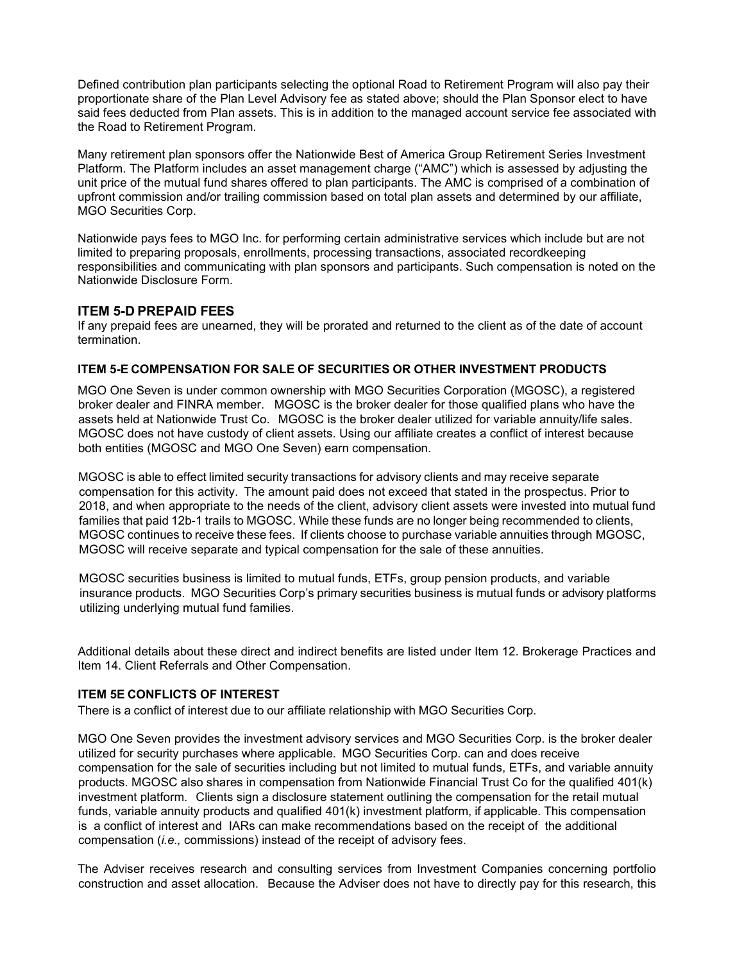Defined contribution plan participants selecting the optional Road to Retirement Program will also pay their proportionate share of the Plan Level Advisory fee as stated above; should the Plan Sponsor elect to have said fees deducted from Plan assets. This is in addition to the managed account service fee associated with the Road to Retirement Program.

Many retirement plan sponsors offer the Nationwide Best of America Group Retirement Series Investment Platform. The Platform includes an asset management charge ("AMC") which is assessed by adjusting the unit price of the mutual fund shares offered to plan participants. The AMC is comprised of a combination of upfront commission and/or trailing commission based on total plan assets and determined by our affiliate, MGO Securities Corp.

Nationwide pays fees to MGO Inc. for performing certain administrative services which include but are not limited to preparing proposals, enrollments, processing transactions, associated recordkeeping responsibilities and communicating with plan sponsors and participants. Such compensation is noted on the Nationwide Disclosure Form.

# **ITEM 5-D PREPAID FEES**

If any prepaid fees are unearned, they will be prorated and returned to the client as of the date of account termination.

## **ITEM 5-E COMPENSATION FOR SALE OF SECURITIES OR OTHER INVESTMENT PRODUCTS**

MGO One Seven is under common ownership with MGO Securities Corporation (MGOSC), a registered broker dealer and FINRA member. MGOSC is the broker dealer for those qualified plans who have the assets held at Nationwide Trust Co. MGOSC is the broker dealer utilized for variable annuity/life sales. MGOSC does not have custody of client assets. Using our affiliate creates a conflict of interest because both entities (MGOSC and MGO One Seven) earn compensation.

MGOSC is able to effect limited security transactions for advisory clients and may receive separate compensation for this activity. The amount paid does not exceed that stated in the prospectus. Prior to 2018, and when appropriate to the needs of the client, advisory client assets were invested into mutual fund families that paid 12b-1 trails to MGOSC. While these funds are no longer being recommended to clients, MGOSC continues to receive these fees. If clients choose to purchase variable annuities through MGOSC, MGOSC will receive separate and typical compensation for the sale of these annuities.

MGOSC securities business is limited to mutual funds, ETFs, group pension products, and variable insurance products. MGO Securities Corp's primary securities business is mutual funds or advisory platforms utilizing underlying mutual fund families.

Additional details about these direct and indirect benefits are listed under Item 12. Brokerage Practices and Item 14. Client Referrals and Other Compensation.

# **ITEM 5E CONFLICTS OF INTEREST**

There is a conflict of interest due to our affiliate relationship with MGO Securities Corp.

MGO One Seven provides the investment advisory services and MGO Securities Corp. is the broker dealer utilized for security purchases where applicable. MGO Securities Corp. can and does receive compensation for the sale of securities including but not limited to mutual funds, ETFs, and variable annuity products. MGOSC also shares in compensation from Nationwide Financial Trust Co for the qualified 401(k) investment platform. Clients sign a disclosure statement outlining the compensation for the retail mutual funds, variable annuity products and qualified 401(k) investment platform, if applicable. This compensation is a conflict of interest and IARs can make recommendations based on the receipt of the additional compensation (*i.e.,* commissions) instead of the receipt of advisory fees.

The Adviser receives research and consulting services from Investment Companies concerning portfolio construction and asset allocation. Because the Adviser does not have to directly pay for this research, this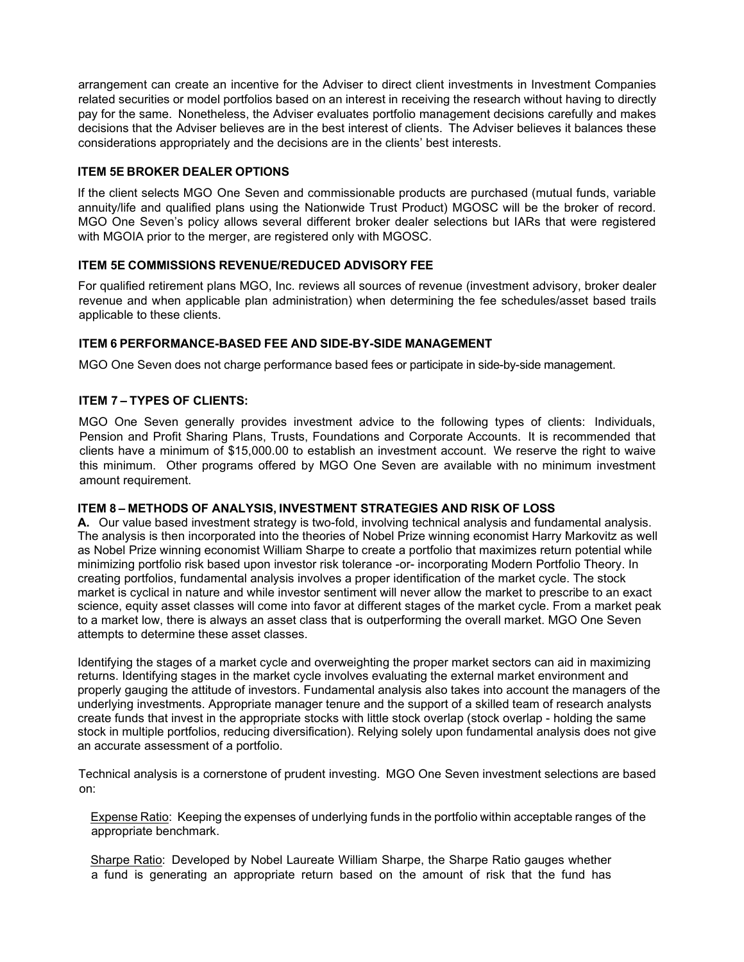arrangement can create an incentive for the Adviser to direct client investments in Investment Companies related securities or model portfolios based on an interest in receiving the research without having to directly pay for the same. Nonetheless, the Adviser evaluates portfolio management decisions carefully and makes decisions that the Adviser believes are in the best interest of clients. The Adviser believes it balances these considerations appropriately and the decisions are in the clients' best interests.

# **ITEM 5E BROKER DEALER OPTIONS**

If the client selects MGO One Seven and commissionable products are purchased (mutual funds, variable annuity/life and qualified plans using the Nationwide Trust Product) MGOSC will be the broker of record. MGO One Seven's policy allows several different broker dealer selections but IARs that were registered with MGOIA prior to the merger, are registered only with MGOSC.

# **ITEM 5E COMMISSIONS REVENUE/REDUCED ADVISORY FEE**

For qualified retirement plans MGO, Inc. reviews all sources of revenue (investment advisory, broker dealer revenue and when applicable plan administration) when determining the fee schedules/asset based trails applicable to these clients.

# **ITEM 6 PERFORMANCE-BASED FEE AND SIDE-BY-SIDE MANAGEMENT**

MGO One Seven does not charge performance based fees or participate in side-by-side management.

# **ITEM 7 – TYPES OF CLIENTS:**

MGO One Seven generally provides investment advice to the following types of clients: Individuals, Pension and Profit Sharing Plans, Trusts, Foundations and Corporate Accounts. It is recommended that clients have a minimum of \$15,000.00 to establish an investment account. We reserve the right to waive this minimum. Other programs offered by MGO One Seven are available with no minimum investment amount requirement.

# **ITEM 8 – METHODS OF ANALYSIS, INVESTMENT STRATEGIES AND RISK OF LOSS**

**A.** Our value based investment strategy is two-fold, involving technical analysis and fundamental analysis. The analysis is then incorporated into the theories of Nobel Prize winning economist Harry Markovitz as well as Nobel Prize winning economist William Sharpe to create a portfolio that maximizes return potential while minimizing portfolio risk based upon investor risk tolerance -or- incorporating Modern Portfolio Theory. In creating portfolios, fundamental analysis involves a proper identification of the market cycle. The stock market is cyclical in nature and while investor sentiment will never allow the market to prescribe to an exact science, equity asset classes will come into favor at different stages of the market cycle. From a market peak to a market low, there is always an asset class that is outperforming the overall market. MGO One Seven attempts to determine these asset classes.

Identifying the stages of a market cycle and overweighting the proper market sectors can aid in maximizing returns. Identifying stages in the market cycle involves evaluating the external market environment and properly gauging the attitude of investors. Fundamental analysis also takes into account the managers of the underlying investments. Appropriate manager tenure and the support of a skilled team of research analysts create funds that invest in the appropriate stocks with little stock overlap (stock overlap - holding the same stock in multiple portfolios, reducing diversification). Relying solely upon fundamental analysis does not give an accurate assessment of a portfolio.

Technical analysis is a cornerstone of prudent investing. MGO One Seven investment selections are based on:

Expense Ratio: Keeping the expenses of underlying funds in the portfolio within acceptable ranges of the appropriate benchmark.

Sharpe Ratio: Developed by Nobel Laureate William Sharpe, the Sharpe Ratio gauges whether a fund is generating an appropriate return based on the amount of risk that the fund has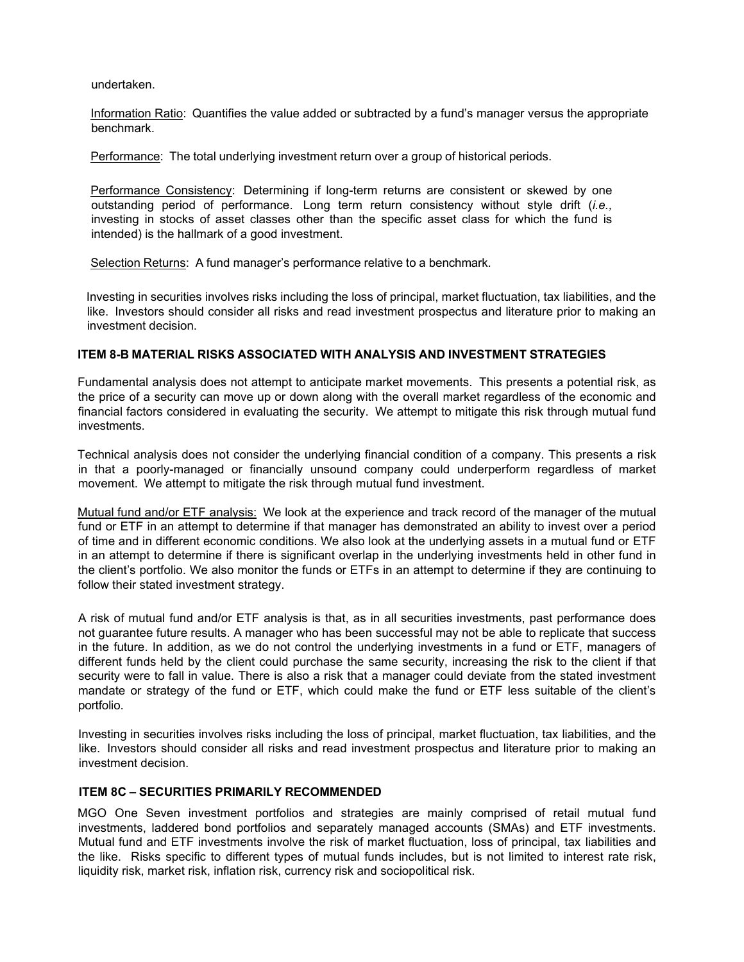undertaken.

Information Ratio: Quantifies the value added or subtracted by a fund's manager versus the appropriate benchmark.

Performance: The total underlying investment return over a group of historical periods.

Performance Consistency: Determining if long-term returns are consistent or skewed by one outstanding period of performance. Long term return consistency without style drift (*i.e.,*  investing in stocks of asset classes other than the specific asset class for which the fund is intended) is the hallmark of a good investment.

Selection Returns: A fund manager's performance relative to a benchmark.

Investing in securities involves risks including the loss of principal, market fluctuation, tax liabilities, and the like. Investors should consider all risks and read investment prospectus and literature prior to making an investment decision.

## **ITEM 8-B MATERIAL RISKS ASSOCIATED WITH ANALYSIS AND INVESTMENT STRATEGIES**

Fundamental analysis does not attempt to anticipate market movements. This presents a potential risk, as the price of a security can move up or down along with the overall market regardless of the economic and financial factors considered in evaluating the security. We attempt to mitigate this risk through mutual fund investments.

Technical analysis does not consider the underlying financial condition of a company. This presents a risk in that a poorly-managed or financially unsound company could underperform regardless of market movement. We attempt to mitigate the risk through mutual fund investment.

Mutual fund and/or ETF analysis: We look at the experience and track record of the manager of the mutual fund or ETF in an attempt to determine if that manager has demonstrated an ability to invest over a period of time and in different economic conditions. We also look at the underlying assets in a mutual fund or ETF in an attempt to determine if there is significant overlap in the underlying investments held in other fund in the client's portfolio. We also monitor the funds or ETFs in an attempt to determine if they are continuing to follow their stated investment strategy.

A risk of mutual fund and/or ETF analysis is that, as in all securities investments, past performance does not guarantee future results. A manager who has been successful may not be able to replicate that success in the future. In addition, as we do not control the underlying investments in a fund or ETF, managers of different funds held by the client could purchase the same security, increasing the risk to the client if that security were to fall in value. There is also a risk that a manager could deviate from the stated investment mandate or strategy of the fund or ETF, which could make the fund or ETF less suitable of the client's portfolio.

Investing in securities involves risks including the loss of principal, market fluctuation, tax liabilities, and the like. Investors should consider all risks and read investment prospectus and literature prior to making an investment decision.

## **ITEM 8C – SECURITIES PRIMARILY RECOMMENDED**

MGO One Seven investment portfolios and strategies are mainly comprised of retail mutual fund investments, laddered bond portfolios and separately managed accounts (SMAs) and ETF investments. Mutual fund and ETF investments involve the risk of market fluctuation, loss of principal, tax liabilities and the like. Risks specific to different types of mutual funds includes, but is not limited to interest rate risk, liquidity risk, market risk, inflation risk, currency risk and sociopolitical risk.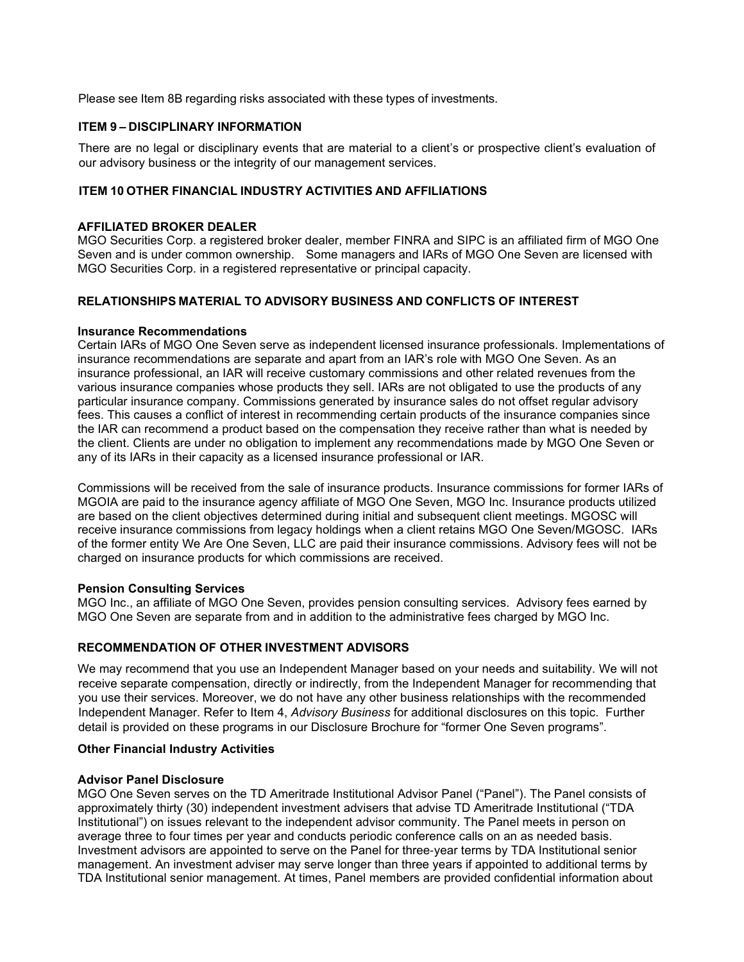Please see Item 8B regarding risks associated with these types of investments.

# **ITEM 9 – DISCIPLINARY INFORMATION**

There are no legal or disciplinary events that are material to a client's or prospective client's evaluation of our advisory business or the integrity of our management services.

# **ITEM 10 OTHER FINANCIAL INDUSTRY ACTIVITIES AND AFFILIATIONS**

### **AFFILIATED BROKER DEALER**

MGO Securities Corp. a registered broker dealer, member FINRA and SIPC is an affiliated firm of MGO One Seven and is under common ownership. Some managers and IARs of MGO One Seven are licensed with MGO Securities Corp. in a registered representative or principal capacity.

# **RELATIONSHIPS MATERIAL TO ADVISORY BUSINESS AND CONFLICTS OF INTEREST**

### **Insurance Recommendations**

Certain IARs of MGO One Seven serve as independent licensed insurance professionals. Implementations of insurance recommendations are separate and apart from an IAR's role with MGO One Seven. As an insurance professional, an IAR will receive customary commissions and other related revenues from the various insurance companies whose products they sell. IARs are not obligated to use the products of any particular insurance company. Commissions generated by insurance sales do not offset regular advisory fees. This causes a conflict of interest in recommending certain products of the insurance companies since the IAR can recommend a product based on the compensation they receive rather than what is needed by the client. Clients are under no obligation to implement any recommendations made by MGO One Seven or any of its IARs in their capacity as a licensed insurance professional or IAR.

Commissions will be received from the sale of insurance products. Insurance commissions for former IARs of MGOIA are paid to the insurance agency affiliate of MGO One Seven, MGO Inc. Insurance products utilized are based on the client objectives determined during initial and subsequent client meetings. MGOSC will receive insurance commissions from legacy holdings when a client retains MGO One Seven/MGOSC. IARs of the former entity We Are One Seven, LLC are paid their insurance commissions. Advisory fees will not be charged on insurance products for which commissions are received.

#### **Pension Consulting Services**

MGO Inc., an affiliate of MGO One Seven, provides pension consulting services. Advisory fees earned by MGO One Seven are separate from and in addition to the administrative fees charged by MGO Inc.

# **RECOMMENDATION OF OTHER INVESTMENT ADVISORS**

We may recommend that you use an Independent Manager based on your needs and suitability. We will not receive separate compensation, directly or indirectly, from the Independent Manager for recommending that you use their services. Moreover, we do not have any other business relationships with the recommended Independent Manager. Refer to Item 4, *Advisory Business* for additional disclosures on this topic. Further detail is provided on these programs in our Disclosure Brochure for "former One Seven programs".

#### **Other Financial Industry Activities**

#### **Advisor Panel Disclosure**

MGO One Seven serves on the TD Ameritrade Institutional Advisor Panel ("Panel"). The Panel consists of approximately thirty (30) independent investment advisers that advise TD Ameritrade Institutional ("TDA Institutional") on issues relevant to the independent advisor community. The Panel meets in person on average three to four times per year and conducts periodic conference calls on an as needed basis. Investment advisors are appointed to serve on the Panel for three‐year terms by TDA Institutional senior management. An investment adviser may serve longer than three years if appointed to additional terms by TDA Institutional senior management. At times, Panel members are provided confidential information about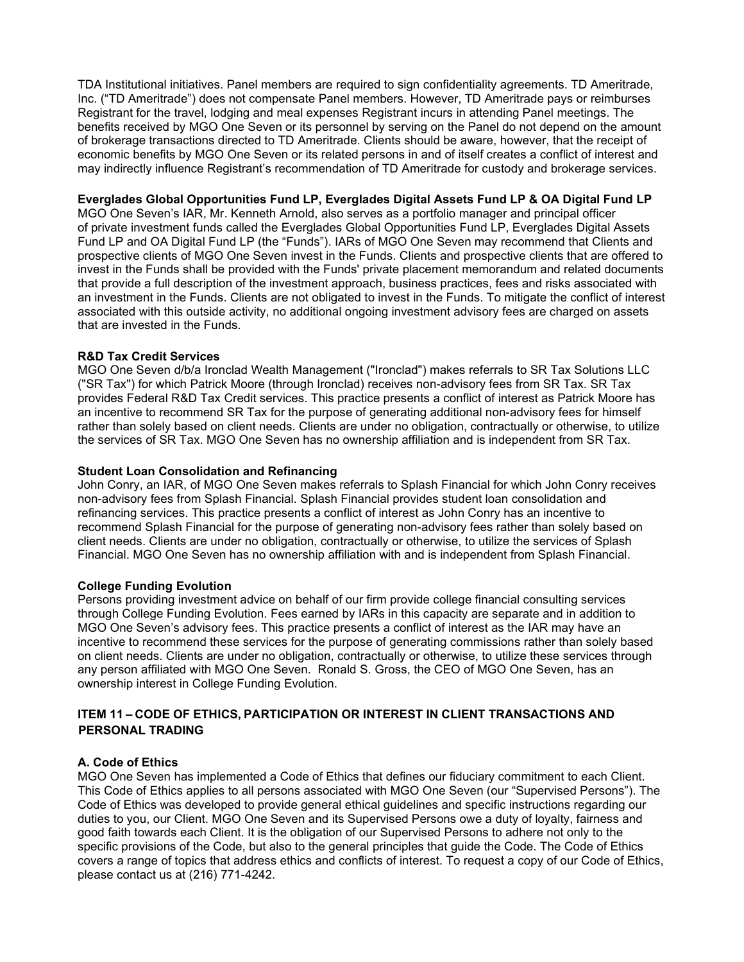TDA Institutional initiatives. Panel members are required to sign confidentiality agreements. TD Ameritrade, Inc. ("TD Ameritrade") does not compensate Panel members. However, TD Ameritrade pays or reimburses Registrant for the travel, lodging and meal expenses Registrant incurs in attending Panel meetings. The benefits received by MGO One Seven or its personnel by serving on the Panel do not depend on the amount of brokerage transactions directed to TD Ameritrade. Clients should be aware, however, that the receipt of economic benefits by MGO One Seven or its related persons in and of itself creates a conflict of interest and may indirectly influence Registrant's recommendation of TD Ameritrade for custody and brokerage services.

## **Everglades Global Opportunities Fund LP, Everglades Digital Assets Fund LP & OA Digital Fund LP**

MGO One Seven's IAR, Mr. Kenneth Arnold, also serves as a portfolio manager and principal officer of private investment funds called the Everglades Global Opportunities Fund LP, Everglades Digital Assets Fund LP and OA Digital Fund LP (the "Funds"). IARs of MGO One Seven may recommend that Clients and prospective clients of MGO One Seven invest in the Funds. Clients and prospective clients that are offered to invest in the Funds shall be provided with the Funds' private placement memorandum and related documents that provide a full description of the investment approach, business practices, fees and risks associated with an investment in the Funds. Clients are not obligated to invest in the Funds. To mitigate the conflict of interest associated with this outside activity, no additional ongoing investment advisory fees are charged on assets that are invested in the Funds.

## **R&D Tax Credit Services**

MGO One Seven d/b/a Ironclad Wealth Management ("Ironclad") makes referrals to SR Tax Solutions LLC ("SR Tax") for which Patrick Moore (through Ironclad) receives non-advisory fees from SR Tax. SR Tax provides Federal R&D Tax Credit services. This practice presents a conflict of interest as Patrick Moore has an incentive to recommend SR Tax for the purpose of generating additional non-advisory fees for himself rather than solely based on client needs. Clients are under no obligation, contractually or otherwise, to utilize the services of SR Tax. MGO One Seven has no ownership affiliation and is independent from SR Tax.

### **Student Loan Consolidation and Refinancing**

John Conry, an IAR, of MGO One Seven makes referrals to Splash Financial for which John Conry receives non-advisory fees from Splash Financial. Splash Financial provides student loan consolidation and refinancing services. This practice presents a conflict of interest as John Conry has an incentive to recommend Splash Financial for the purpose of generating non-advisory fees rather than solely based on client needs. Clients are under no obligation, contractually or otherwise, to utilize the services of Splash Financial. MGO One Seven has no ownership affiliation with and is independent from Splash Financial.

#### **College Funding Evolution**

Persons providing investment advice on behalf of our firm provide college financial consulting services through College Funding Evolution. Fees earned by IARs in this capacity are separate and in addition to MGO One Seven's advisory fees. This practice presents a conflict of interest as the IAR may have an incentive to recommend these services for the purpose of generating commissions rather than solely based on client needs. Clients are under no obligation, contractually or otherwise, to utilize these services through any person affiliated with MGO One Seven. Ronald S. Gross, the CEO of MGO One Seven, has an ownership interest in College Funding Evolution.

# **ITEM 11 – CODE OF ETHICS, PARTICIPATION OR INTEREST IN CLIENT TRANSACTIONS AND PERSONAL TRADING**

## **A. Code of Ethics**

MGO One Seven has implemented a Code of Ethics that defines our fiduciary commitment to each Client. This Code of Ethics applies to all persons associated with MGO One Seven (our "Supervised Persons"). The Code of Ethics was developed to provide general ethical guidelines and specific instructions regarding our duties to you, our Client. MGO One Seven and its Supervised Persons owe a duty of loyalty, fairness and good faith towards each Client. It is the obligation of our Supervised Persons to adhere not only to the specific provisions of the Code, but also to the general principles that guide the Code. The Code of Ethics covers a range of topics that address ethics and conflicts of interest. To request a copy of our Code of Ethics, please contact us at (216) 771-4242.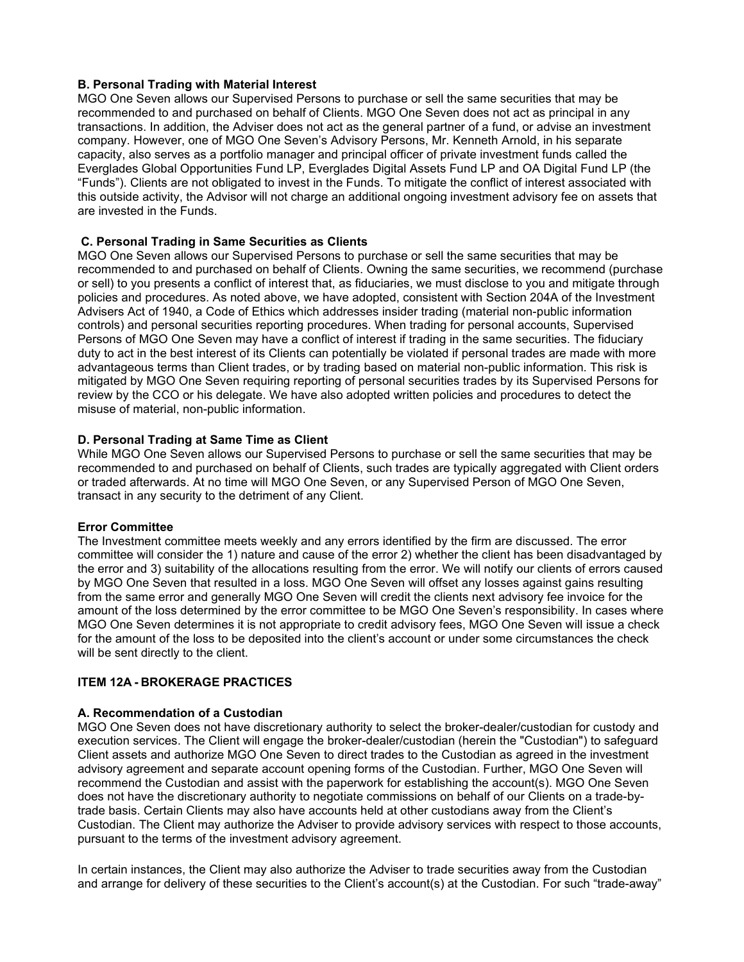# **B. Personal Trading with Material Interest**

MGO One Seven allows our Supervised Persons to purchase or sell the same securities that may be recommended to and purchased on behalf of Clients. MGO One Seven does not act as principal in any transactions. In addition, the Adviser does not act as the general partner of a fund, or advise an investment company. However, one of MGO One Seven's Advisory Persons, Mr. Kenneth Arnold, in his separate capacity, also serves as a portfolio manager and principal officer of private investment funds called the Everglades Global Opportunities Fund LP, Everglades Digital Assets Fund LP and OA Digital Fund LP (the "Funds"). Clients are not obligated to invest in the Funds. To mitigate the conflict of interest associated with this outside activity, the Advisor will not charge an additional ongoing investment advisory fee on assets that are invested in the Funds.

# **C. Personal Trading in Same Securities as Clients**

MGO One Seven allows our Supervised Persons to purchase or sell the same securities that may be recommended to and purchased on behalf of Clients. Owning the same securities, we recommend (purchase or sell) to you presents a conflict of interest that, as fiduciaries, we must disclose to you and mitigate through policies and procedures. As noted above, we have adopted, consistent with Section 204A of the Investment Advisers Act of 1940, a Code of Ethics which addresses insider trading (material non-public information controls) and personal securities reporting procedures. When trading for personal accounts, Supervised Persons of MGO One Seven may have a conflict of interest if trading in the same securities. The fiduciary duty to act in the best interest of its Clients can potentially be violated if personal trades are made with more advantageous terms than Client trades, or by trading based on material non-public information. This risk is mitigated by MGO One Seven requiring reporting of personal securities trades by its Supervised Persons for review by the CCO or his delegate. We have also adopted written policies and procedures to detect the misuse of material, non-public information.

# **D. Personal Trading at Same Time as Client**

While MGO One Seven allows our Supervised Persons to purchase or sell the same securities that may be recommended to and purchased on behalf of Clients, such trades are typically aggregated with Client orders or traded afterwards. At no time will MGO One Seven, or any Supervised Person of MGO One Seven, transact in any security to the detriment of any Client.

## **Error Committee**

The Investment committee meets weekly and any errors identified by the firm are discussed. The error committee will consider the 1) nature and cause of the error 2) whether the client has been disadvantaged by the error and 3) suitability of the allocations resulting from the error. We will notify our clients of errors caused by MGO One Seven that resulted in a loss. MGO One Seven will offset any losses against gains resulting from the same error and generally MGO One Seven will credit the clients next advisory fee invoice for the amount of the loss determined by the error committee to be MGO One Seven's responsibility. In cases where MGO One Seven determines it is not appropriate to credit advisory fees, MGO One Seven will issue a check for the amount of the loss to be deposited into the client's account or under some circumstances the check will be sent directly to the client.

# **ITEM 12A - BROKERAGE PRACTICES**

## **A. Recommendation of a Custodian**

MGO One Seven does not have discretionary authority to select the broker-dealer/custodian for custody and execution services. The Client will engage the broker-dealer/custodian (herein the "Custodian") to safeguard Client assets and authorize MGO One Seven to direct trades to the Custodian as agreed in the investment advisory agreement and separate account opening forms of the Custodian. Further, MGO One Seven will recommend the Custodian and assist with the paperwork for establishing the account(s). MGO One Seven does not have the discretionary authority to negotiate commissions on behalf of our Clients on a trade-bytrade basis. Certain Clients may also have accounts held at other custodians away from the Client's Custodian. The Client may authorize the Adviser to provide advisory services with respect to those accounts, pursuant to the terms of the investment advisory agreement.

In certain instances, the Client may also authorize the Adviser to trade securities away from the Custodian and arrange for delivery of these securities to the Client's account(s) at the Custodian. For such "trade-away"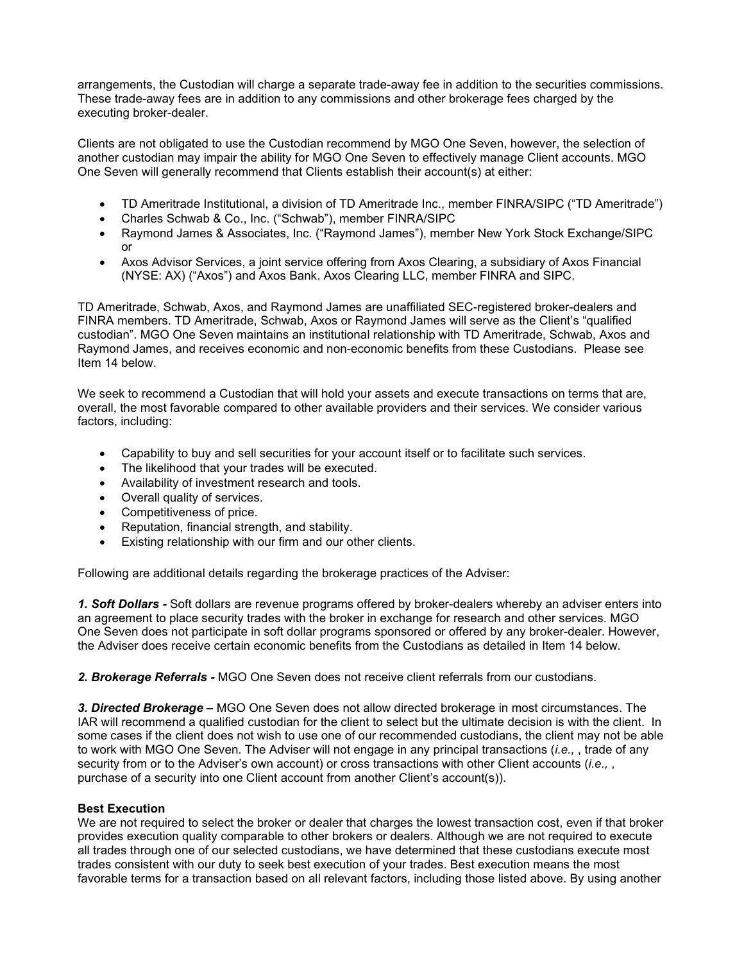arrangements, the Custodian will charge a separate trade-away fee in addition to the securities commissions. These trade-away fees are in addition to any commissions and other brokerage fees charged by the executing broker-dealer.

Clients are not obligated to use the Custodian recommend by MGO One Seven, however, the selection of another custodian may impair the ability for MGO One Seven to effectively manage Client accounts. MGO One Seven will generally recommend that Clients establish their account(s) at either:

- TD Ameritrade Institutional, a division of TD Ameritrade Inc., member FINRA/SIPC ("TD Ameritrade")
- Charles Schwab & Co., Inc. ("Schwab"), member FINRA/SIPC
- Raymond James & Associates, Inc. ("Raymond James"), member New York Stock Exchange/SIPC or
- Axos Advisor Services, a joint service offering from Axos Clearing, a subsidiary of Axos Financial (NYSE: AX) ("Axos") and Axos Bank. Axos Clearing LLC, member FINRA and SIPC.

TD Ameritrade, Schwab, Axos, and Raymond James are unaffiliated SEC-registered broker-dealers and FINRA members. TD Ameritrade, Schwab, Axos or Raymond James will serve as the Client's "qualified custodian". MGO One Seven maintains an institutional relationship with TD Ameritrade, Schwab, Axos and Raymond James, and receives economic and non-economic benefits from these Custodians. Please see Item 14 below.

We seek to recommend a Custodian that will hold your assets and execute transactions on terms that are, overall, the most favorable compared to other available providers and their services. We consider various factors, including:

- Capability to buy and sell securities for your account itself or to facilitate such services.
- The likelihood that your trades will be executed.
- Availability of investment research and tools.
- Overall quality of services.
- Competitiveness of price.
- Reputation, financial strength, and stability.
- Existing relationship with our firm and our other clients.

Following are additional details regarding the brokerage practices of the Adviser:

*1. Soft Dollars -* Soft dollars are revenue programs offered by broker-dealers whereby an adviser enters into an agreement to place security trades with the broker in exchange for research and other services. MGO One Seven does not participate in soft dollar programs sponsored or offered by any broker-dealer. However, the Adviser does receive certain economic benefits from the Custodians as detailed in Item 14 below.

*2. Brokerage Referrals -* MGO One Seven does not receive client referrals from our custodians.

*3. Directed Brokerage –* MGO One Seven does not allow directed brokerage in most circumstances. The IAR will recommend a qualified custodian for the client to select but the ultimate decision is with the client. In some cases if the client does not wish to use one of our recommended custodians, the client may not be able to work with MGO One Seven. The Adviser will not engage in any principal transactions (*i.e.,* , trade of any security from or to the Adviser's own account) or cross transactions with other Client accounts (*i.e.,* , purchase of a security into one Client account from another Client's account(s)).

## **Best Execution**

We are not required to select the broker or dealer that charges the lowest transaction cost, even if that broker provides execution quality comparable to other brokers or dealers. Although we are not required to execute all trades through one of our selected custodians, we have determined that these custodians execute most trades consistent with our duty to seek best execution of your trades. Best execution means the most favorable terms for a transaction based on all relevant factors, including those listed above. By using another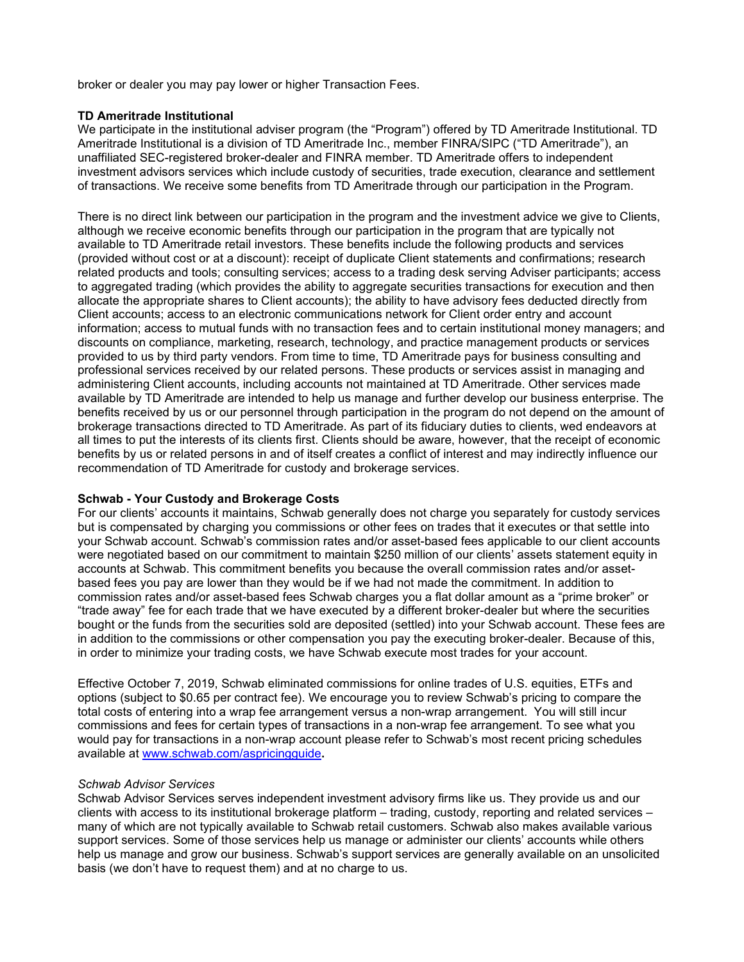broker or dealer you may pay lower or higher Transaction Fees.

### **TD Ameritrade Institutional**

We participate in the institutional adviser program (the "Program") offered by TD Ameritrade Institutional. TD Ameritrade Institutional is a division of TD Ameritrade Inc., member FINRA/SIPC ("TD Ameritrade"), an unaffiliated SEC-registered broker-dealer and FINRA member. TD Ameritrade offers to independent investment advisors services which include custody of securities, trade execution, clearance and settlement of transactions. We receive some benefits from TD Ameritrade through our participation in the Program.

There is no direct link between our participation in the program and the investment advice we give to Clients, although we receive economic benefits through our participation in the program that are typically not available to TD Ameritrade retail investors. These benefits include the following products and services (provided without cost or at a discount): receipt of duplicate Client statements and confirmations; research related products and tools; consulting services; access to a trading desk serving Adviser participants; access to aggregated trading (which provides the ability to aggregate securities transactions for execution and then allocate the appropriate shares to Client accounts); the ability to have advisory fees deducted directly from Client accounts; access to an electronic communications network for Client order entry and account information; access to mutual funds with no transaction fees and to certain institutional money managers; and discounts on compliance, marketing, research, technology, and practice management products or services provided to us by third party vendors. From time to time, TD Ameritrade pays for business consulting and professional services received by our related persons. These products or services assist in managing and administering Client accounts, including accounts not maintained at TD Ameritrade. Other services made available by TD Ameritrade are intended to help us manage and further develop our business enterprise. The benefits received by us or our personnel through participation in the program do not depend on the amount of brokerage transactions directed to TD Ameritrade. As part of its fiduciary duties to clients, wed endeavors at all times to put the interests of its clients first. Clients should be aware, however, that the receipt of economic benefits by us or related persons in and of itself creates a conflict of interest and may indirectly influence our recommendation of TD Ameritrade for custody and brokerage services.

## **Schwab - Your Custody and Brokerage Costs**

For our clients' accounts it maintains, Schwab generally does not charge you separately for custody services but is compensated by charging you commissions or other fees on trades that it executes or that settle into your Schwab account. Schwab's commission rates and/or asset-based fees applicable to our client accounts were negotiated based on our commitment to maintain \$250 million of our clients' assets statement equity in accounts at Schwab. This commitment benefits you because the overall commission rates and/or assetbased fees you pay are lower than they would be if we had not made the commitment. In addition to commission rates and/or asset-based fees Schwab charges you a flat dollar amount as a "prime broker" or "trade away" fee for each trade that we have executed by a different broker-dealer but where the securities bought or the funds from the securities sold are deposited (settled) into your Schwab account. These fees are in addition to the commissions or other compensation you pay the executing broker-dealer. Because of this, in order to minimize your trading costs, we have Schwab execute most trades for your account.

Effective October 7, 2019, Schwab eliminated commissions for online trades of U.S. equities, ETFs and options (subject to \$0.65 per contract fee). We encourage you to review Schwab's pricing to compare the total costs of entering into a wrap fee arrangement versus a non-wrap arrangement. You will still incur commissions and fees for certain types of transactions in a non-wrap fee arrangement. To see what you would pay for transactions in a non-wrap account please refer to Schwab's most recent pricing schedules available at [www.schwab.com/aspricingguide](https://urldefense.proofpoint.com/v2/url?u=https-3A__nam02.safelinks.protection.outlook.com_-3Furl-3Dhttp-253A-252F-252Fwww.schwab.com-252Faspricingguide-26data-3D02-257C01-257Cdarlene.duncan-2540dm.investments-257Cb50f7d8074724d97b2ee08d769203f26-257C7b40344bdc1c4ec1b024addf86602e10-257C0-257C0-257C637093459527133305-26sdata-3DT8UFcdR9FjlXiZxQyDbVeOzAW37zJYeJwkmptuhp-252FgM-253D-26reserved-3D0&d=DwMFAg&c=A6XMocl_FPns4glHZfOYqg&r=phh_YD3x8Mtjop9YlvvG-FrDQZiM2LEos5PJubzn0kQ&m=cpOXpEdnG2JIfOdwBsH0uuysb2VPKdBdospfpe9XM_E&s=ZizNckb2aZe1bI55nVtvaj_YAyV0RudtQYkOgQwYqJY&e=)**.**

## *Schwab Advisor Services*

Schwab Advisor Services serves independent investment advisory firms like us. They provide us and our clients with access to its institutional brokerage platform – trading, custody, reporting and related services – many of which are not typically available to Schwab retail customers. Schwab also makes available various support services. Some of those services help us manage or administer our clients' accounts while others help us manage and grow our business. Schwab's support services are generally available on an unsolicited basis (we don't have to request them) and at no charge to us.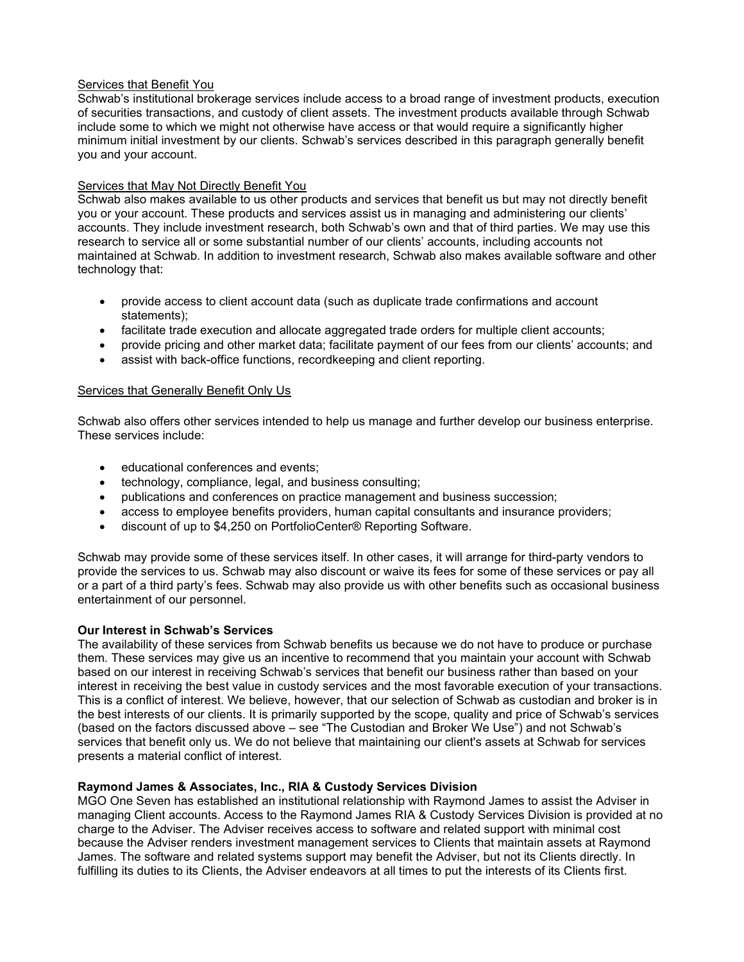## Services that Benefit You

Schwab's institutional brokerage services include access to a broad range of investment products, execution of securities transactions, and custody of client assets. The investment products available through Schwab include some to which we might not otherwise have access or that would require a significantly higher minimum initial investment by our clients. Schwab's services described in this paragraph generally benefit you and your account.

# Services that May Not Directly Benefit You

Schwab also makes available to us other products and services that benefit us but may not directly benefit you or your account. These products and services assist us in managing and administering our clients' accounts. They include investment research, both Schwab's own and that of third parties. We may use this research to service all or some substantial number of our clients' accounts, including accounts not maintained at Schwab. In addition to investment research, Schwab also makes available software and other technology that:

- provide access to client account data (such as duplicate trade confirmations and account statements);
- facilitate trade execution and allocate aggregated trade orders for multiple client accounts;
- provide pricing and other market data; facilitate payment of our fees from our clients' accounts; and
- assist with back-office functions, recordkeeping and client reporting.

# Services that Generally Benefit Only Us

Schwab also offers other services intended to help us manage and further develop our business enterprise. These services include:

- educational conferences and events;
- technology, compliance, legal, and business consulting;
- publications and conferences on practice management and business succession;
- access to employee benefits providers, human capital consultants and insurance providers;
- discount of up to \$4,250 on PortfolioCenter® Reporting Software.

Schwab may provide some of these services itself. In other cases, it will arrange for third-party vendors to provide the services to us. Schwab may also discount or waive its fees for some of these services or pay all or a part of a third party's fees. Schwab may also provide us with other benefits such as occasional business entertainment of our personnel.

## **Our Interest in Schwab's Services**

The availability of these services from Schwab benefits us because we do not have to produce or purchase them. These services may give us an incentive to recommend that you maintain your account with Schwab based on our interest in receiving Schwab's services that benefit our business rather than based on your interest in receiving the best value in custody services and the most favorable execution of your transactions. This is a conflict of interest. We believe, however, that our selection of Schwab as custodian and broker is in the best interests of our clients. It is primarily supported by the scope, quality and price of Schwab's services (based on the factors discussed above – see "The Custodian and Broker We Use") and not Schwab's services that benefit only us. We do not believe that maintaining our client's assets at Schwab for services presents a material conflict of interest.

## **Raymond James & Associates, Inc., RIA & Custody Services Division**

MGO One Seven has established an institutional relationship with Raymond James to assist the Adviser in managing Client accounts. Access to the Raymond James RIA & Custody Services Division is provided at no charge to the Adviser. The Adviser receives access to software and related support with minimal cost because the Adviser renders investment management services to Clients that maintain assets at Raymond James. The software and related systems support may benefit the Adviser, but not its Clients directly. In fulfilling its duties to its Clients, the Adviser endeavors at all times to put the interests of its Clients first.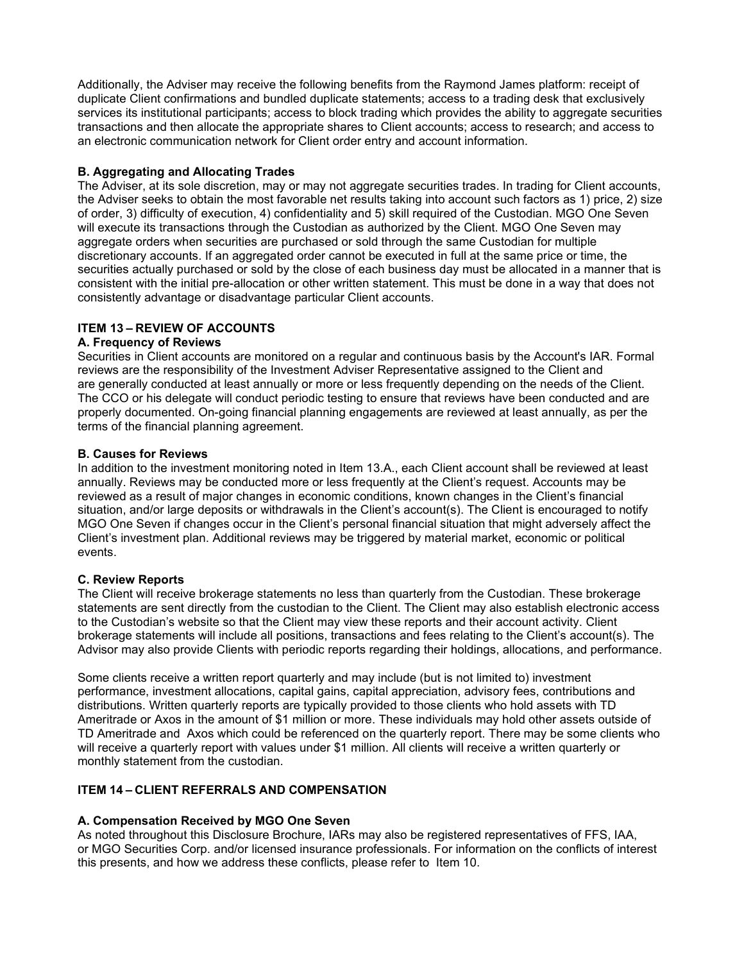Additionally, the Adviser may receive the following benefits from the Raymond James platform: receipt of duplicate Client confirmations and bundled duplicate statements; access to a trading desk that exclusively services its institutional participants; access to block trading which provides the ability to aggregate securities transactions and then allocate the appropriate shares to Client accounts; access to research; and access to an electronic communication network for Client order entry and account information.

# **B. Aggregating and Allocating Trades**

The Adviser, at its sole discretion, may or may not aggregate securities trades. In trading for Client accounts, the Adviser seeks to obtain the most favorable net results taking into account such factors as 1) price, 2) size of order, 3) difficulty of execution, 4) confidentiality and 5) skill required of the Custodian. MGO One Seven will execute its transactions through the Custodian as authorized by the Client. MGO One Seven may aggregate orders when securities are purchased or sold through the same Custodian for multiple discretionary accounts. If an aggregated order cannot be executed in full at the same price or time, the securities actually purchased or sold by the close of each business day must be allocated in a manner that is consistent with the initial pre-allocation or other written statement. This must be done in a way that does not consistently advantage or disadvantage particular Client accounts.

# **ITEM 13 – REVIEW OF ACCOUNTS**

# **A. Frequency of Reviews**

Securities in Client accounts are monitored on a regular and continuous basis by the Account's IAR. Formal reviews are the responsibility of the Investment Adviser Representative assigned to the Client and are generally conducted at least annually or more or less frequently depending on the needs of the Client. The CCO or his delegate will conduct periodic testing to ensure that reviews have been conducted and are properly documented. On-going financial planning engagements are reviewed at least annually, as per the terms of the financial planning agreement.

# **B. Causes for Reviews**

In addition to the investment monitoring noted in Item 13.A., each Client account shall be reviewed at least annually. Reviews may be conducted more or less frequently at the Client's request. Accounts may be reviewed as a result of major changes in economic conditions, known changes in the Client's financial situation, and/or large deposits or withdrawals in the Client's account(s). The Client is encouraged to notify MGO One Seven if changes occur in the Client's personal financial situation that might adversely affect the Client's investment plan. Additional reviews may be triggered by material market, economic or political events.

# **C. Review Reports**

The Client will receive brokerage statements no less than quarterly from the Custodian. These brokerage statements are sent directly from the custodian to the Client. The Client may also establish electronic access to the Custodian's website so that the Client may view these reports and their account activity. Client brokerage statements will include all positions, transactions and fees relating to the Client's account(s). The Advisor may also provide Clients with periodic reports regarding their holdings, allocations, and performance.

Some clients receive a written report quarterly and may include (but is not limited to) investment performance, investment allocations, capital gains, capital appreciation, advisory fees, contributions and distributions. Written quarterly reports are typically provided to those clients who hold assets with TD Ameritrade or Axos in the amount of \$1 million or more. These individuals may hold other assets outside of TD Ameritrade and Axos which could be referenced on the quarterly report. There may be some clients who will receive a quarterly report with values under \$1 million. All clients will receive a written quarterly or monthly statement from the custodian.

# **ITEM 14 – CLIENT REFERRALS AND COMPENSATION**

# **A. Compensation Received by MGO One Seven**

As noted throughout this Disclosure Brochure, IARs may also be registered representatives of FFS, IAA, or MGO Securities Corp. and/or licensed insurance professionals. For information on the conflicts of interest this presents, and how we address these conflicts, please refer to Item 10.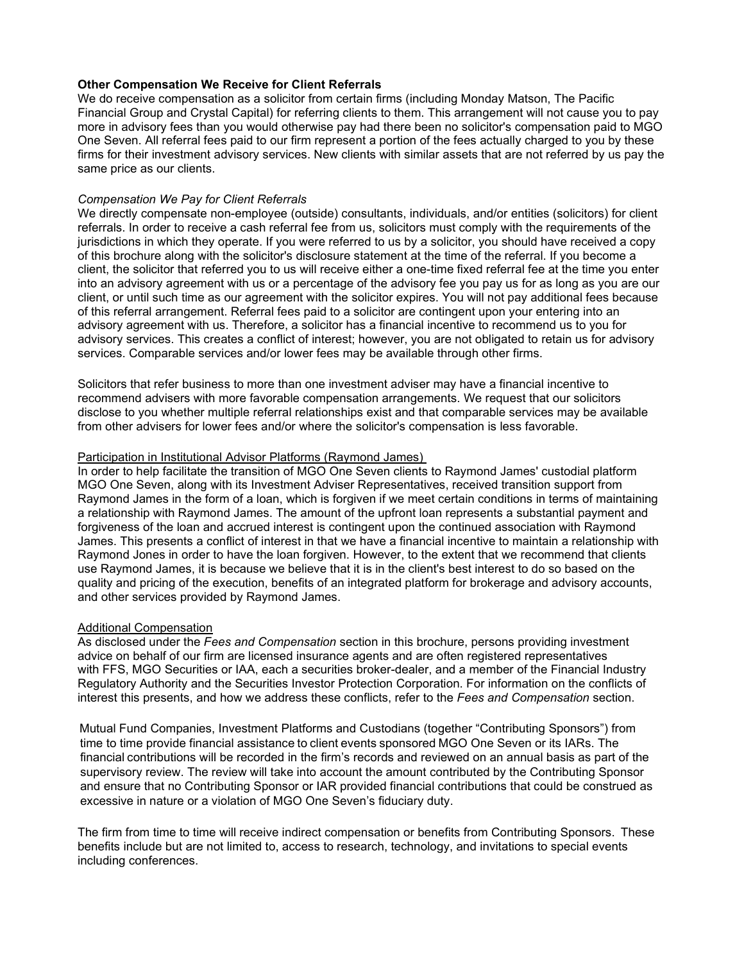### **Other Compensation We Receive for Client Referrals**

We do receive compensation as a solicitor from certain firms (including Monday Matson, The Pacific Financial Group and Crystal Capital) for referring clients to them. This arrangement will not cause you to pay more in advisory fees than you would otherwise pay had there been no solicitor's compensation paid to MGO One Seven. All referral fees paid to our firm represent a portion of the fees actually charged to you by these firms for their investment advisory services. New clients with similar assets that are not referred by us pay the same price as our clients.

#### *Compensation We Pay for Client Referrals*

We directly compensate non-employee (outside) consultants, individuals, and/or entities (solicitors) for client referrals. In order to receive a cash referral fee from us, solicitors must comply with the requirements of the jurisdictions in which they operate. If you were referred to us by a solicitor, you should have received a copy of this brochure along with the solicitor's disclosure statement at the time of the referral. If you become a client, the solicitor that referred you to us will receive either a one-time fixed referral fee at the time you enter into an advisory agreement with us or a percentage of the advisory fee you pay us for as long as you are our client, or until such time as our agreement with the solicitor expires. You will not pay additional fees because of this referral arrangement. Referral fees paid to a solicitor are contingent upon your entering into an advisory agreement with us. Therefore, a solicitor has a financial incentive to recommend us to you for advisory services. This creates a conflict of interest; however, you are not obligated to retain us for advisory services. Comparable services and/or lower fees may be available through other firms.

Solicitors that refer business to more than one investment adviser may have a financial incentive to recommend advisers with more favorable compensation arrangements. We request that our solicitors disclose to you whether multiple referral relationships exist and that comparable services may be available from other advisers for lower fees and/or where the solicitor's compensation is less favorable.

#### Participation in Institutional Advisor Platforms (Raymond James)

In order to help facilitate the transition of MGO One Seven clients to Raymond James' custodial platform MGO One Seven, along with its Investment Adviser Representatives, received transition support from Raymond James in the form of a loan, which is forgiven if we meet certain conditions in terms of maintaining a relationship with Raymond James. The amount of the upfront loan represents a substantial payment and forgiveness of the loan and accrued interest is contingent upon the continued association with Raymond James. This presents a conflict of interest in that we have a financial incentive to maintain a relationship with Raymond Jones in order to have the loan forgiven. However, to the extent that we recommend that clients use Raymond James, it is because we believe that it is in the client's best interest to do so based on the quality and pricing of the execution, benefits of an integrated platform for brokerage and advisory accounts, and other services provided by Raymond James.

## Additional Compensation

As disclosed under the *Fees and Compensation* section in this brochure, persons providing investment advice on behalf of our firm are licensed insurance agents and are often registered representatives with FFS, MGO Securities or IAA, each a securities broker-dealer, and a member of the Financial Industry Regulatory Authority and the Securities Investor Protection Corporation. For information on the conflicts of interest this presents, and how we address these conflicts, refer to the *Fees and Compensation* section.

Mutual Fund Companies, Investment Platforms and Custodians (together "Contributing Sponsors") from time to time provide financial assistance to client events sponsored MGO One Seven or its IARs. The financial contributions will be recorded in the firm's records and reviewed on an annual basis as part of the supervisory review. The review will take into account the amount contributed by the Contributing Sponsor and ensure that no Contributing Sponsor or IAR provided financial contributions that could be construed as excessive in nature or a violation of MGO One Seven's fiduciary duty.

The firm from time to time will receive indirect compensation or benefits from Contributing Sponsors. These benefits include but are not limited to, access to research, technology, and invitations to special events including conferences.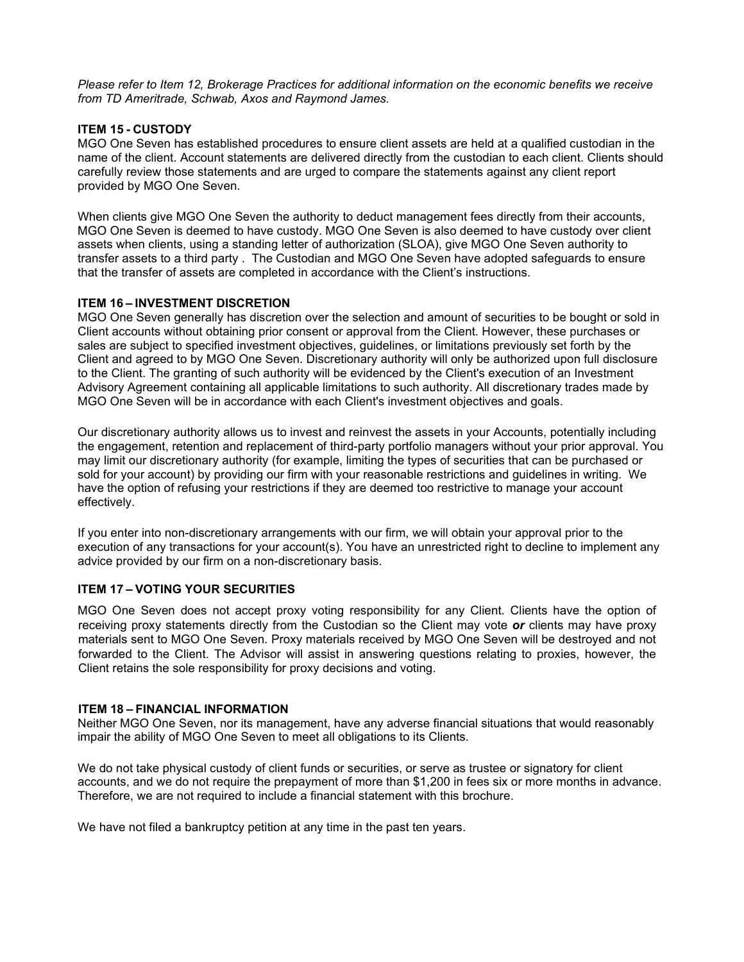*Please refer to Item 12, Brokerage Practices for additional information on the economic benefits we receive from TD Ameritrade, Schwab, Axos and Raymond James.*

# **ITEM 15 - CUSTODY**

MGO One Seven has established procedures to ensure client assets are held at a qualified custodian in the name of the client. Account statements are delivered directly from the custodian to each client. Clients should carefully review those statements and are urged to compare the statements against any client report provided by MGO One Seven.

When clients give MGO One Seven the authority to deduct management fees directly from their accounts, MGO One Seven is deemed to have custody. MGO One Seven is also deemed to have custody over client assets when clients, using a standing letter of authorization (SLOA), give MGO One Seven authority to transfer assets to a third party . The Custodian and MGO One Seven have adopted safeguards to ensure that the transfer of assets are completed in accordance with the Client's instructions.

## **ITEM 16 – INVESTMENT DISCRETION**

MGO One Seven generally has discretion over the selection and amount of securities to be bought or sold in Client accounts without obtaining prior consent or approval from the Client. However, these purchases or sales are subject to specified investment objectives, guidelines, or limitations previously set forth by the Client and agreed to by MGO One Seven. Discretionary authority will only be authorized upon full disclosure to the Client. The granting of such authority will be evidenced by the Client's execution of an Investment Advisory Agreement containing all applicable limitations to such authority. All discretionary trades made by MGO One Seven will be in accordance with each Client's investment objectives and goals.

Our discretionary authority allows us to invest and reinvest the assets in your Accounts, potentially including the engagement, retention and replacement of third-party portfolio managers without your prior approval. You may limit our discretionary authority (for example, limiting the types of securities that can be purchased or sold for your account) by providing our firm with your reasonable restrictions and guidelines in writing. We have the option of refusing your restrictions if they are deemed too restrictive to manage your account effectively.

If you enter into non-discretionary arrangements with our firm, we will obtain your approval prior to the execution of any transactions for your account(s). You have an unrestricted right to decline to implement any advice provided by our firm on a non-discretionary basis.

# **ITEM 17 – VOTING YOUR SECURITIES**

MGO One Seven does not accept proxy voting responsibility for any Client. Clients have the option of receiving proxy statements directly from the Custodian so the Client may vote *or* clients may have proxy materials sent to MGO One Seven. Proxy materials received by MGO One Seven will be destroyed and not forwarded to the Client. The Advisor will assist in answering questions relating to proxies, however, the Client retains the sole responsibility for proxy decisions and voting.

## **ITEM 18 – FINANCIAL INFORMATION**

Neither MGO One Seven, nor its management, have any adverse financial situations that would reasonably impair the ability of MGO One Seven to meet all obligations to its Clients.

We do not take physical custody of client funds or securities, or serve as trustee or signatory for client accounts, and we do not require the prepayment of more than \$1,200 in fees six or more months in advance. Therefore, we are not required to include a financial statement with this brochure.

We have not filed a bankruptcy petition at any time in the past ten years.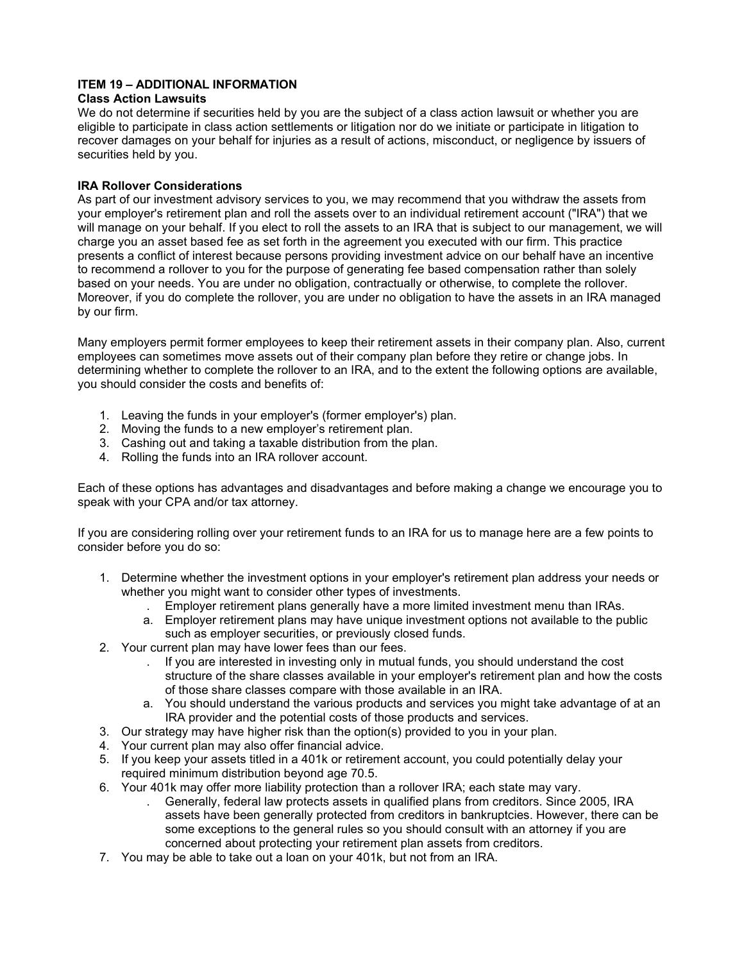# **ITEM 19 – ADDITIONAL INFORMATION**

# **Class Action Lawsuits**

We do not determine if securities held by you are the subject of a class action lawsuit or whether you are eligible to participate in class action settlements or litigation nor do we initiate or participate in litigation to recover damages on your behalf for injuries as a result of actions, misconduct, or negligence by issuers of securities held by you.

# **IRA Rollover Considerations**

As part of our investment advisory services to you, we may recommend that you withdraw the assets from your employer's retirement plan and roll the assets over to an individual retirement account ("IRA") that we will manage on your behalf. If you elect to roll the assets to an IRA that is subject to our management, we will charge you an asset based fee as set forth in the agreement you executed with our firm. This practice presents a conflict of interest because persons providing investment advice on our behalf have an incentive to recommend a rollover to you for the purpose of generating fee based compensation rather than solely based on your needs. You are under no obligation, contractually or otherwise, to complete the rollover. Moreover, if you do complete the rollover, you are under no obligation to have the assets in an IRA managed by our firm.

Many employers permit former employees to keep their retirement assets in their company plan. Also, current employees can sometimes move assets out of their company plan before they retire or change jobs. In determining whether to complete the rollover to an IRA, and to the extent the following options are available, you should consider the costs and benefits of:

- 1. Leaving the funds in your employer's (former employer's) plan.
- 2. Moving the funds to a new employer's retirement plan.
- 3. Cashing out and taking a taxable distribution from the plan.
- 4. Rolling the funds into an IRA rollover account.

Each of these options has advantages and disadvantages and before making a change we encourage you to speak with your CPA and/or tax attorney.

If you are considering rolling over your retirement funds to an IRA for us to manage here are a few points to consider before you do so:

- 1. Determine whether the investment options in your employer's retirement plan address your needs or whether you might want to consider other types of investments.
	- . Employer retirement plans generally have a more limited investment menu than IRAs.
	- a. Employer retirement plans may have unique investment options not available to the public such as employer securities, or previously closed funds.
- 2. Your current plan may have lower fees than our fees.
	- . If you are interested in investing only in mutual funds, you should understand the cost structure of the share classes available in your employer's retirement plan and how the costs of those share classes compare with those available in an IRA.
	- a. You should understand the various products and services you might take advantage of at an IRA provider and the potential costs of those products and services.
- 3. Our strategy may have higher risk than the option(s) provided to you in your plan.
- 4. Your current plan may also offer financial advice.
- 5. If you keep your assets titled in a 401k or retirement account, you could potentially delay your required minimum distribution beyond age 70.5.
- 6. Your 401k may offer more liability protection than a rollover IRA; each state may vary.
	- . Generally, federal law protects assets in qualified plans from creditors. Since 2005, IRA assets have been generally protected from creditors in bankruptcies. However, there can be some exceptions to the general rules so you should consult with an attorney if you are concerned about protecting your retirement plan assets from creditors.
- 7. You may be able to take out a loan on your 401k, but not from an IRA.